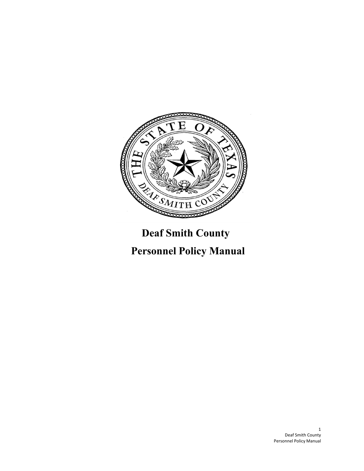

# **Deaf Smith County**

# **Personnel Policy Manual**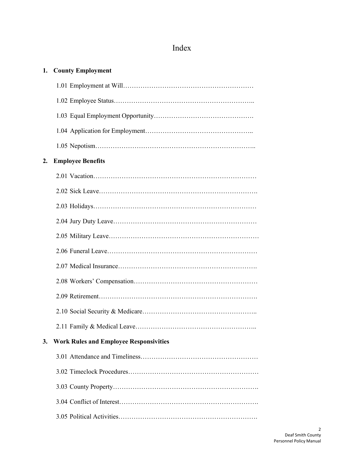## Index

| 1. | <b>County Employment</b>                      |
|----|-----------------------------------------------|
|    |                                               |
|    |                                               |
|    |                                               |
|    |                                               |
|    |                                               |
| 2. | <b>Employee Benefits</b>                      |
|    |                                               |
|    |                                               |
|    |                                               |
|    |                                               |
|    |                                               |
|    |                                               |
|    |                                               |
|    |                                               |
|    |                                               |
|    |                                               |
|    |                                               |
| 3. | <b>Work Rules and Employee Responsivities</b> |
|    |                                               |
|    |                                               |
|    |                                               |
|    |                                               |
|    |                                               |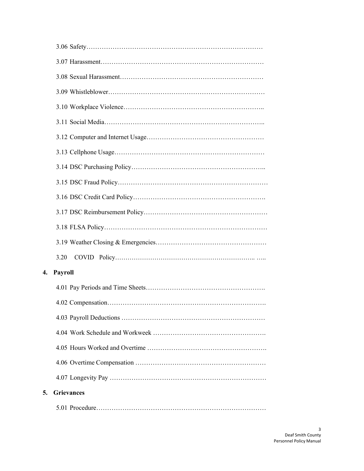|    | 3.20              |
|----|-------------------|
| 4. | <b>Payroll</b>    |
|    |                   |
|    |                   |
|    |                   |
|    |                   |
|    |                   |
|    |                   |
|    |                   |
| 5. | <b>Grievances</b> |
|    |                   |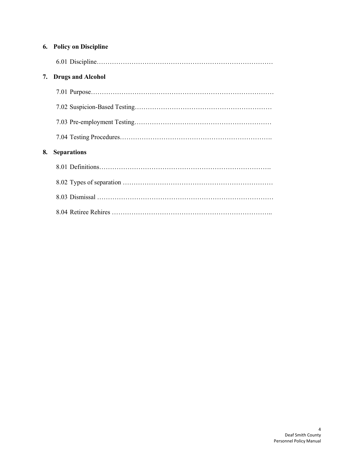|    | <b>6.</b> Policy on Discipline |
|----|--------------------------------|
|    |                                |
| 7. | <b>Drugs and Alcohol</b>       |
|    |                                |
|    |                                |
|    |                                |
|    |                                |
| 8. | <b>Separations</b>             |
|    |                                |
|    |                                |
|    |                                |
|    |                                |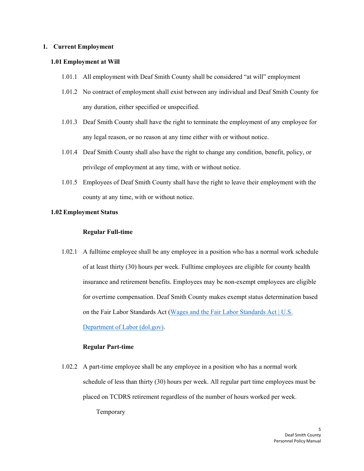#### <span id="page-4-0"></span>**1. Current Employment**

#### **1.01 Employment at Will**

- 1.01.1 All employment with Deaf Smith County shall be considered "at will" employment
- 1.01.2 No contract of employment shall exist between any individual and Deaf Smith County for any duration, either specified or unspecified.
- 1.01.3 Deaf Smith County shall have the right to terminate the employment of any employee for any legal reason, or no reason at any time either with or without notice.
- 1.01.4 Deaf Smith County shall also have the right to change any condition, benefit, policy, or privilege of employment at any time, with or without notice.
- 1.01.5 Employees of Deaf Smith County shall have the right to leave their employment with the county at any time, with or without notice.

## <span id="page-4-1"></span>**1.02 Employment Status**

#### **Regular Full-time**

1.02.1 A fulltime employee shall be any employee in a position who has a normal work schedule of at least thirty (30) hours per week. Fulltime employees are eligible for county health insurance and retirement benefits. Employees may be non-exempt employees are eligible for overtime compensation. Deaf Smith County makes exempt status determination based on the Fair Labor Standards Act [\(Wages and](https://www.dol.gov/agencies/whd/flsa) the Fair Labor Standards Act | U.S. [Department](https://www.dol.gov/agencies/whd/flsa) of Labor (dol.gov).

#### **Regular Part-time**

1.02.2 A part-time employee shall be any employee in a position who has a normal work schedule of less than thirty (30) hours per week. All regular part time employees must be placed on TCDRS retirement regardless of the number of hours worked per week.

Temporary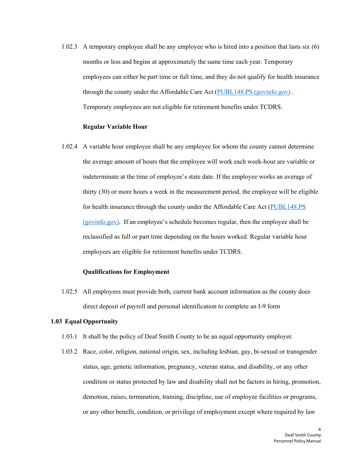1.02.3 A temporary employee shall be any employee who is hired into a position that lasts six (6) months or less and begins at approximately the same time each year. Temporary employees can either be part time or full time, and they do not qualify for health insurance through the county under the Affordable Care Act [\(PUBL148.PS](https://www.govinfo.gov/content/pkg/PLAW-111publ148/pdf/PLAW-111publ148.pdf) (govinfo.gov) . Temporary employees are not eligible for retirement benefits under TCDRS.

#### **Regular Variable Hour**

1.02.4 A variable hour employee shall be any employee for whom the county cannot determine the average amount of hours that the employee will work each week-hour are variable or indeterminate at the time of employee's state date. If the employee works an average of thirty (30) or more hours a week in the measurement period, the employee will be eligible for health insurance through the county under the Affordable Care Act [\(PUBL148.PS](https://www.govinfo.gov/content/pkg/PLAW-111publ148/pdf/PLAW-111publ148.pdf) [\(govinfo.gov\).](https://www.govinfo.gov/content/pkg/PLAW-111publ148/pdf/PLAW-111publ148.pdf) If an employee's schedule becomes regular, then the employee shall be reclassified as full or part time depending on the hours worked. Regular variable hour employees are eligible for retirement benefits under TCDRS.

#### **Qualifications for Employment**

1.02.5 All employees must provide both, current bank account information as the county does direct deposit of payroll and personal identification to complete an I-9 form

#### <span id="page-5-0"></span>**1.03 Equal Opportunity**

- 1.03.1 It shall be the policy of Deaf Smith County to be an equal opportunity employer.
- 1.03.2 Race, color, religion, national origin, sex, including lesbian, gay, bi-sexual or transgender status, age, genetic information, pregnancy, veteran status, and disability, or any other condition or status protected by law and disability shall not be factors in hiring, promotion, demotion, raises, termination, training, discipline, use of employee facilities or programs, or any other benefit, condition, or privilege of employment except where required by law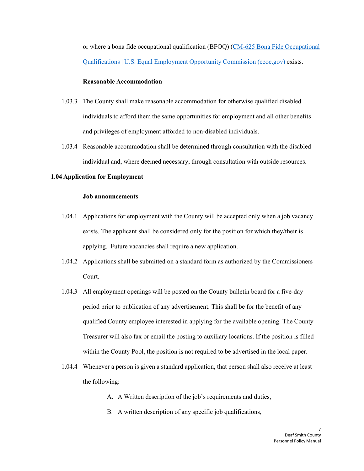or where a bona fide occupational qualification (BFOQ) (CM-625 Bona Fide [Occupational](https://www.eeoc.gov/laws/guidance/cm-625-bona-fide-occupational-qualifications) [Qualifications | U.S.](https://www.eeoc.gov/laws/guidance/cm-625-bona-fide-occupational-qualifications) Equal Employment Opportunity Commission (eeoc.gov) exists.

#### **Reasonable Accommodation**

- 1.03.3 The County shall make reasonable accommodation for otherwise qualified disabled individuals to afford them the same opportunities for employment and all other benefits and privileges of employment afforded to non-disabled individuals.
- <span id="page-6-0"></span>1.03.4 Reasonable accommodation shall be determined through consultation with the disabled individual and, where deemed necessary, through consultation with outside resources.

## **1.04 Application for Employment**

#### **Job announcements**

- 1.04.1 Applications for employment with the County will be accepted only when a job vacancy exists. The applicant shall be considered only for the position for which they/their is applying. Future vacancies shall require a new application.
- 1.04.2 Applications shall be submitted on a standard form as authorized by the Commissioners Court.
- 1.04.3 All employment openings will be posted on the County bulletin board for a five-day period prior to publication of any advertisement. This shall be for the benefit of any qualified County employee interested in applying for the available opening. The County Treasurer will also fax or email the posting to auxiliary locations. If the position is filled within the County Pool, the position is not required to be advertised in the local paper.
- 1.04.4 Whenever a person is given a standard application, that person shall also receive at least the following:
	- A. A Written description of the job's requirements and duties,
	- B. A written description of any specific job qualifications,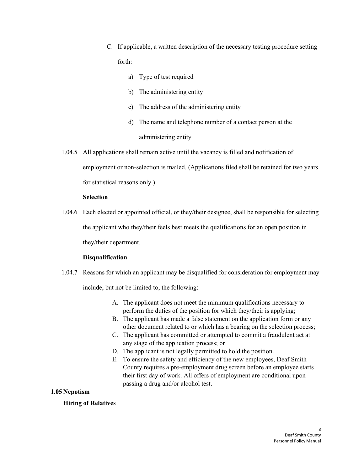- C. If applicable, a written description of the necessary testing procedure setting forth:
	- a) Type of test required
	- b) The administering entity
	- c) The address of the administering entity
	- d) The name and telephone number of a contact person at the administering entity
- 1.04.5 All applications shall remain active until the vacancy is filled and notification of employment or non-selection is mailed. (Applications filed shall be retained for two years for statistical reasons only.)

## **Selection**

1.04.6 Each elected or appointed official, or they/their designee, shall be responsible for selecting the applicant who they/their feels best meets the qualifications for an open position in they/their department.

## **Disqualification**

- <span id="page-7-0"></span>1.04.7 Reasons for which an applicant may be disqualified for consideration for employment may include, but not be limited to, the following:
	- A. The applicant does not meet the minimum qualifications necessary to perform the duties of the position for which they/their is applying;
	- B. The applicant has made a false statement on the application form or any other document related to or which has a bearing on the selection process;
	- C. The applicant has committed or attempted to commit a fraudulent act at any stage of the application process; or
	- D. The applicant is not legally permitted to hold the position.
	- E. To ensure the safety and efficiency of the new employees, Deaf Smith County requires a pre-employment drug screen before an employee starts their first day of work. All offers of employment are conditional upon passing a drug and/or alcohol test.

## **1.05 Nepotism**

## **Hiring of Relatives**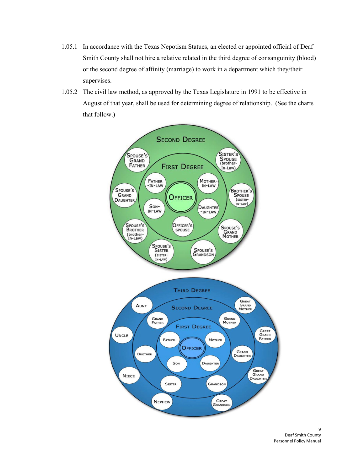- 1.05.1 In accordance with the Texas Nepotism Statues, an elected or appointed official of Deaf Smith County shall not hire a relative related in the third degree of consanguinity (blood) or the second degree of affinity (marriage) to work in a department which they/their supervises.
- 1.05.2 The civil law method, as approved by the Texas Legislature in 1991 to be effective in August of that year, shall be used for determining degree of relationship. (See the charts that follow.)

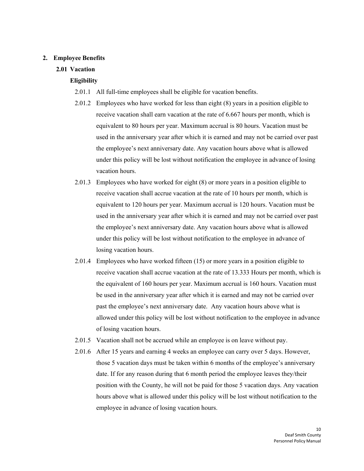#### <span id="page-9-0"></span>**2. Employee Benefits**

## **2.01 Vacation**

## **Eligibility**

- 2.01.1 All full-time employees shall be eligible for vacation benefits.
- 2.01.2 Employees who have worked for less than eight (8) years in a position eligible to receive vacation shall earn vacation at the rate of 6.667 hours per month, which is equivalent to 80 hours per year. Maximum accrual is 80 hours. Vacation must be used in the anniversary year after which it is earned and may not be carried over past the employee's next anniversary date. Any vacation hours above what is allowed under this policy will be lost without notification the employee in advance of losing vacation hours.
- 2.01.3 Employees who have worked for eight (8) or more years in a position eligible to receive vacation shall accrue vacation at the rate of 10 hours per month, which is equivalent to 120 hours per year. Maximum accrual is 120 hours. Vacation must be used in the anniversary year after which it is earned and may not be carried over past the employee's next anniversary date. Any vacation hours above what is allowed under this policy will be lost without notification to the employee in advance of losing vacation hours.
- 2.01.4 Employees who have worked fifteen (15) or more years in a position eligible to receive vacation shall accrue vacation at the rate of 13.333 Hours per month, which is the equivalent of 160 hours per year. Maximum accrual is 160 hours. Vacation must be used in the anniversary year after which it is earned and may not be carried over past the employee's next anniversary date. Any vacation hours above what is allowed under this policy will be lost without notification to the employee in advance of losing vacation hours.
- 2.01.5 Vacation shall not be accrued while an employee is on leave without pay.
- 2.01.6 After 15 years and earning 4 weeks an employee can carry over 5 days. However, those 5 vacation days must be taken within 6 months of the employee's anniversary date. If for any reason during that 6 month period the employee leaves they/their position with the County, he will not be paid for those 5 vacation days. Any vacation hours above what is allowed under this policy will be lost without notification to the employee in advance of losing vacation hours.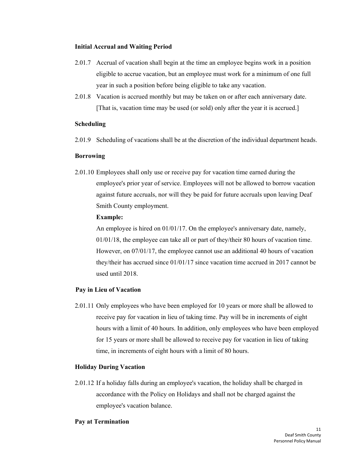#### **Initial Accrual and Waiting Period**

- 2.01.7 Accrual of vacation shall begin at the time an employee begins work in a position eligible to accrue vacation, but an employee must work for a minimum of one full year in such a position before being eligible to take any vacation.
- 2.01.8 Vacation is accrued monthly but may be taken on or after each anniversary date. [That is, vacation time may be used (or sold) only after the year it is accrued.]

#### **Scheduling**

2.01.9 Scheduling of vacations shall be at the discretion of the individual department heads.

#### **Borrowing**

2.01.10 Employees shall only use or receive pay for vacation time earned during the employee's prior year of service. Employees will not be allowed to borrow vacation against future accruals, nor will they be paid for future accruals upon leaving Deaf Smith County employment.

#### **Example:**

An employee is hired on 01/01/17. On the employee's anniversary date, namely, 01/01/18, the employee can take all or part of they/their 80 hours of vacation time. However, on 07/01/17, the employee cannot use an additional 40 hours of vacation they/their has accrued since 01/01/17 since vacation time accrued in 2017 cannot be used until 2018.

## **Pay in Lieu of Vacation**

2.01.11 Only employees who have been employed for 10 years or more shall be allowed to receive pay for vacation in lieu of taking time. Pay will be in increments of eight hours with a limit of 40 hours. In addition, only employees who have been employed for 15 years or more shall be allowed to receive pay for vacation in lieu of taking time, in increments of eight hours with a limit of 80 hours.

## **Holiday During Vacation**

2.01.12 If a holiday falls during an employee's vacation, the holiday shall be charged in accordance with the Policy on Holidays and shall not be charged against the employee's vacation balance.

#### **Pay at Termination**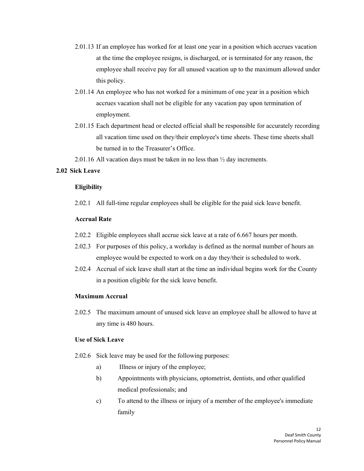- <span id="page-11-0"></span>2.01.13 If an employee has worked for at least one year in a position which accrues vacation at the time the employee resigns, is discharged, or is terminated for any reason, the employee shall receive pay for all unused vacation up to the maximum allowed under this policy.
- 2.01.14 An employee who has not worked for a minimum of one year in a position which accrues vacation shall not be eligible for any vacation pay upon termination of employment.
- 2.01.15 Each department head or elected official shall be responsible for accurately recording all vacation time used on they/their employee's time sheets. These time sheets shall be turned in to the Treasurer's Office.

2.01.16 All vacation days must be taken in no less than ½ day increments.

## **2.02 Sick Leave**

#### **Eligibility**

2.02.1 All full-time regular employees shall be eligible for the paid sick leave benefit.

## **Accrual Rate**

- 2.02.2 Eligible employees shall accrue sick leave at a rate of 6.667 hours per month.
- 2.02.3 For purposes of this policy, a workday is defined as the normal number of hours an employee would be expected to work on a day they/their is scheduled to work.
- 2.02.4 Accrual of sick leave shall start at the time an individual begins work for the County in a position eligible for the sick leave benefit.

#### **Maximum Accrual**

2.02.5 The maximum amount of unused sick leave an employee shall be allowed to have at any time is 480 hours.

#### **Use of Sick Leave**

- 2.02.6 Sick leave may be used for the following purposes:
	- a) Illness or injury of the employee;
	- b) Appointments with physicians, optometrist, dentists, and other qualified medical professionals; and
	- c) To attend to the illness or injury of a member of the employee's immediate family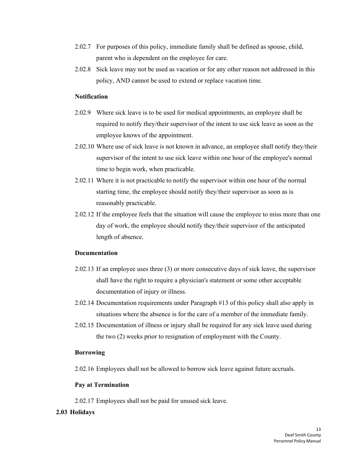- 2.02.7 For purposes of this policy, immediate family shall be defined as spouse, child, parent who is dependent on the employee for care.
- 2.02.8 Sick leave may not be used as vacation or for any other reason not addressed in this policy, AND cannot be used to extend or replace vacation time.

## **Notification**

- 2.02.9 Where sick leave is to be used for medical appointments, an employee shall be required to notify they/their supervisor of the intent to use sick leave as soon as the employee knows of the appointment.
- 2.02.10 Where use of sick leave is not known in advance, an employee shall notify they/their supervisor of the intent to use sick leave within one hour of the employee's normal time to begin work, when practicable.
- 2.02.11 Where it is not practicable to notify the supervisor within one hour of the normal starting time, the employee should notify they/their supervisor as soon as is reasonably practicable.
- 2.02.12 If the employee feels that the situation will cause the employee to miss more than one day of work, the employee should notify they/their supervisor of the anticipated length of absence.

## **Documentation**

- 2.02.13 If an employee uses three (3) or more consecutive days of sick leave, the supervisor shall have the right to require a physician's statement or some other acceptable documentation of injury or illness.
- <span id="page-12-0"></span>2.02.14 Documentation requirements under Paragraph #13 of this policy shall also apply in situations where the absence is for the care of a member of the immediate family.
- 2.02.15 Documentation of illness or injury shall be required for any sick leave used during the two (2) weeks prior to resignation of employment with the County.

## **Borrowing**

2.02.16 Employees shall not be allowed to borrow sick leave against future accruals.

## **Pay at Termination**

2.02.17 Employees shall not be paid for unused sick leave.

## **2.03 Holidays**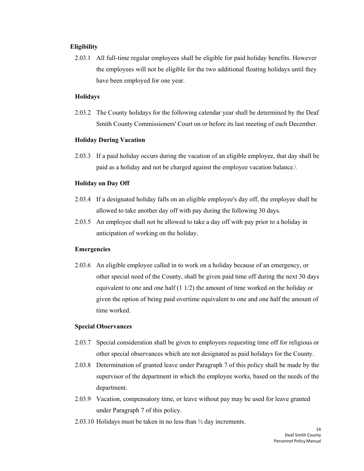#### **Eligibility**

2.03.1 All full-time regular employees shall be eligible for paid holiday benefits. However the employees will not be eligible for the two additional floating holidays until they have been employed for one year.

#### **Holidays**

2.03.2 The County holidays for the following calendar year shall be determined by the Deaf Smith County Commissioners' Court on or before its last meeting of each December.

#### **Holiday During Vacation**

2.03.3 If a paid holiday occurs during the vacation of an eligible employee, that day shall be paid as a holiday and not be charged against the employee vacation balance.\

#### **Holiday on Day Off**

- 2.03.4 If a designated holiday falls on an eligible employee's day off, the employee shall be allowed to take another day off with pay during the following 30 days.
- 2.03.5 An employee shall not be allowed to take a day off with pay prior to a holiday in anticipation of working on the holiday.

#### **Emergencies**

2.03.6 An eligible employee called in to work on a holiday because of an emergency, or other special need of the County, shall be given paid time off during the next 30 days equivalent to one and one half (1 1/2) the amount of time worked on the holiday or given the option of being paid overtime equivalent to one and one half the amount of time worked.

#### **Special Observances**

- 2.03.7 Special consideration shall be given to employees requesting time off for religious or other special observances which are not designated as paid holidays for the County.
- 2.03.8 Determination of granted leave under Paragraph 7 of this policy shall be made by the supervisor of the department in which the employee works, based on the needs of the department.
- 2.03.9 Vacation, compensatory time, or leave without pay may be used for leave granted under Paragraph 7 of this policy.
- 2.03.10 Holidays must be taken in no less than ½ day increments.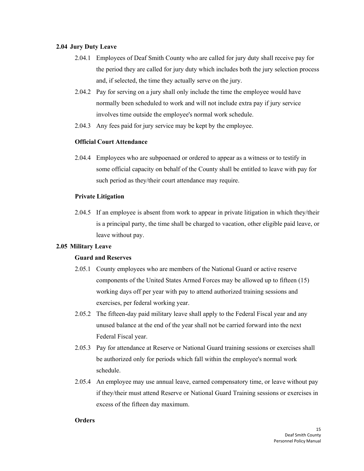## <span id="page-14-0"></span>**2.04 Jury Duty Leave**

- 2.04.1 Employees of Deaf Smith County who are called for jury duty shall receive pay for the period they are called for jury duty which includes both the jury selection process and, if selected, the time they actually serve on the jury.
- 2.04.2 Pay for serving on a jury shall only include the time the employee would have normally been scheduled to work and will not include extra pay if jury service involves time outside the employee's normal work schedule.
- 2.04.3 Any fees paid for jury service may be kept by the employee.

## <span id="page-14-1"></span>**Official Court Attendance**

2.04.4 Employees who are subpoenaed or ordered to appear as a witness or to testify in some official capacity on behalf of the County shall be entitled to leave with pay for such period as they/their court attendance may require.

## **Private Litigation**

2.04.5 If an employee is absent from work to appear in private litigation in which they/their is a principal party, the time shall be charged to vacation, other eligible paid leave, or leave without pay.

## **2.05 Military Leave**

## **Guard and Reserves**

- 2.05.1 County employees who are members of the National Guard or active reserve components of the United States Armed Forces may be allowed up to fifteen (15) working days off per year with pay to attend authorized training sessions and exercises, per federal working year.
- 2.05.2 The fifteen-day paid military leave shall apply to the Federal Fiscal year and any unused balance at the end of the year shall not be carried forward into the next Federal Fiscal year.
- 2.05.3 Pay for attendance at Reserve or National Guard training sessions or exercises shall be authorized only for periods which fall within the employee's normal work schedule.
- 2.05.4 An employee may use annual leave, earned compensatory time, or leave without pay if they/their must attend Reserve or National Guard Training sessions or exercises in excess of the fifteen day maximum.

#### **Orders**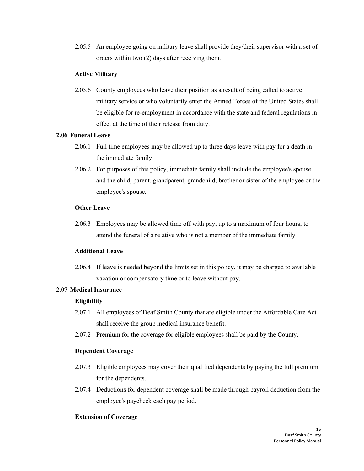<span id="page-15-0"></span>2.05.5 An employee going on military leave shall provide they/their supervisor with a set of orders within two (2) days after receiving them.

## **Active Military**

2.05.6 County employees who leave their position as a result of being called to active military service or who voluntarily enter the Armed Forces of the United States shall be eligible for re-employment in accordance with the state and federal regulations in effect at the time of their release from duty.

## **2.06 Funeral Leave**

- 2.06.1 Full time employees may be allowed up to three days leave with pay for a death in the immediate family.
- <span id="page-15-1"></span>2.06.2 For purposes of this policy, immediate family shall include the employee's spouse and the child, parent, grandparent, grandchild, brother or sister of the employee or the employee's spouse.

## **Other Leave**

2.06.3 Employees may be allowed time off with pay, up to a maximum of four hours, to attend the funeral of a relative who is not a member of the immediate family

## **Additional Leave**

2.06.4 If leave is needed beyond the limits set in this policy, it may be charged to available vacation or compensatory time or to leave without pay.

## **2.07 Medical Insurance**

## **Eligibility**

- 2.07.1 All employees of Deaf Smith County that are eligible under the Affordable Care Act shall receive the group medical insurance benefit.
- 2.07.2 Premium for the coverage for eligible employees shall be paid by the County.

## **Dependent Coverage**

- 2.07.3 Eligible employees may cover their qualified dependents by paying the full premium for the dependents.
- 2.07.4 Deductions for dependent coverage shall be made through payroll deduction from the employee's paycheck each pay period.

## **Extension of Coverage**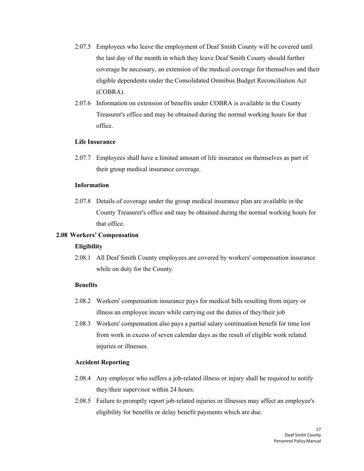- 2.07.5 Employees who leave the employment of Deaf Smith County will be covered until the last day of the month in which they leave Deaf Smith County should further coverage be necessary, an extension of the medical coverage for themselves and their eligible dependents under the Consolidated Omnibus Budget Reconciliation Act (COBRA).
- 2.07.6 Information on extension of benefits under COBRA is available in the County Treasurer's office and may be obtained during the normal working hours for that office.

## <span id="page-16-0"></span>**Life Insurance**

2.07.7 Employees shall have a limited amount of life insurance on themselves as part of their group medical insurance coverage.

#### **Information**

2.07.8 Details of coverage under the group medical insurance plan are available in the County Treasurer's office and may be obtained during the normal working hours for that office.

## **2.08 Workers' Compensation**

#### **Eligibility**

2.08.1 All Deaf Smith County employees are covered by workers' compensation insurance while on duty for the County.

## **Benefits**

- 2.08.2 Workers' compensation insurance pays for medical bills resulting from injury or illness an employee incurs while carrying out the duties of they/their job
- 2.08.3 Workers' compensation also pays a partial salary continuation benefit for time lost from work in excess of seven calendar days as the result of eligible work related injuries or illnesses.

#### **Accident Reporting**

- 2.08.4 Any employee who suffers a job-related illness or injury shall be required to notify they/their supervisor within 24 hours.
- 2.08.5 Failure to promptly report job-related injuries or illnesses may affect an employee's eligibility for benefits or delay benefit payments which are due.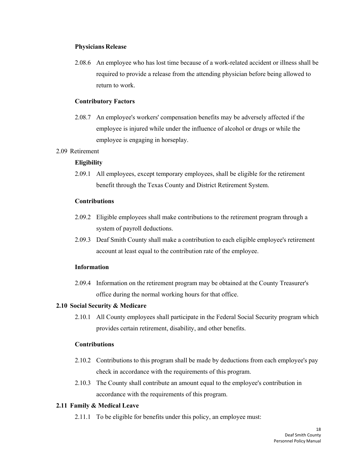#### <span id="page-17-0"></span>**Physicians Release**

2.08.6 An employee who has lost time because of a work-related accident or illness shall be required to provide a release from the attending physician before being allowed to return to work.

#### **Contributory Factors**

2.08.7 An employee's workers' compensation benefits may be adversely affected if the employee is injured while under the influence of alcohol or drugs or while the employee is engaging in horseplay.

#### 2.09 Retirement

## **Eligibility**

2.09.1 All employees, except temporary employees, shall be eligible for the retirement benefit through the Texas County and District Retirement System.

#### <span id="page-17-1"></span>**Contributions**

- 2.09.2 Eligible employees shall make contributions to the retirement program through a system of payroll deductions.
- 2.09.3 Deaf Smith County shall make a contribution to each eligible employee's retirement account at least equal to the contribution rate of the employee.

#### **Information**

2.09.4 Information on the retirement program may be obtained at the County Treasurer's office during the normal working hours for that office.

#### <span id="page-17-2"></span>**2.10 Social Security & Medicare**

2.10.1 All County employees shall participate in the Federal Social Security program which provides certain retirement, disability, and other benefits.

#### **Contributions**

- 2.10.2 Contributions to this program shall be made by deductions from each employee's pay check in accordance with the requirements of this program.
- 2.10.3 The County shall contribute an amount equal to the employee's contribution in accordance with the requirements of this program.

## **2.11 Family & Medical Leave**

2.11.1 To be eligible for benefits under this policy, an employee must: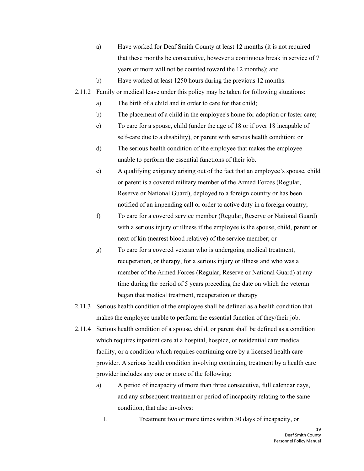- a) Have worked for Deaf Smith County at least 12 months (it is not required that these months be consecutive, however a continuous break in service of 7 years or more will not be counted toward the 12 months); and
- b) Have worked at least 1250 hours during the previous 12 months.
- 2.11.2 Family or medical leave under this policy may be taken for following situations:
	- a) The birth of a child and in order to care for that child;
	- b) The placement of a child in the employee's home for adoption or foster care;
	- c) To care for a spouse, child (under the age of 18 or if over 18 incapable of self-care due to a disability), or parent with serious health condition; or
	- d) The serious health condition of the employee that makes the employee unable to perform the essential functions of their job.
	- e) A qualifying exigency arising out of the fact that an employee's spouse, child or parent is a covered military member of the Armed Forces (Regular, Reserve or National Guard), deployed to a foreign country or has been notified of an impending call or order to active duty in a foreign country;
	- f) To care for a covered service member (Regular, Reserve or National Guard) with a serious injury or illness if the employee is the spouse, child, parent or next of kin (nearest blood relative) of the service member; or
	- g) To care for a covered veteran who is undergoing medical treatment, recuperation, or therapy, for a serious injury or illness and who was a member of the Armed Forces (Regular, Reserve or National Guard) at any time during the period of 5 years preceding the date on which the veteran began that medical treatment, recuperation or therapy
- 2.11.3 Serious health condition of the employee shall be defined as a health condition that makes the employee unable to perform the essential function of they/their job.
- 2.11.4 Serious health condition of a spouse, child, or parent shall be defined as a condition which requires inpatient care at a hospital, hospice, or residential care medical facility, or a condition which requires continuing care by a licensed health care provider. A serious health condition involving continuing treatment by a health care provider includes any one or more of the following:
	- a) A period of incapacity of more than three consecutive, full calendar days, and any subsequent treatment or period of incapacity relating to the same condition, that also involves:

I. Treatment two or more times within 30 days of incapacity, or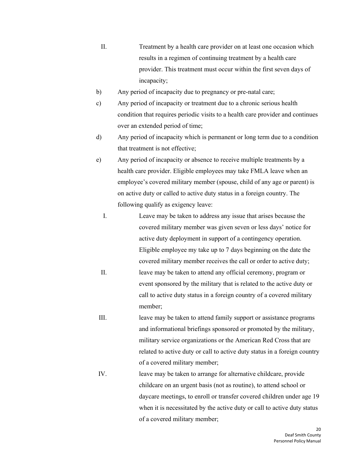- II. Treatment by a health care provider on at least one occasion which results in a regimen of continuing treatment by a health care provider. This treatment must occur within the first seven days of incapacity;
- b) Any period of incapacity due to pregnancy or pre-natal care;
- c) Any period of incapacity or treatment due to a chronic serious health condition that requires periodic visits to a health care provider and continues over an extended period of time;
- d) Any period of incapacity which is permanent or long term due to a condition that treatment is not effective;
- e) Any period of incapacity or absence to receive multiple treatments by a health care provider. Eligible employees may take FMLA leave when an employee's covered military member (spouse, child of any age or parent) is on active duty or called to active duty status in a foreign country. The following qualify as exigency leave:
	- I. Leave may be taken to address any issue that arises because the covered military member was given seven or less days' notice for active duty deployment in support of a contingency operation. Eligible employee my take up to 7 days beginning on the date the covered military member receives the call or order to active duty;
	- II. leave may be taken to attend any official ceremony, program or event sponsored by the military that is related to the active duty or call to active duty status in a foreign country of a covered military member;
- III. leave may be taken to attend family support or assistance programs and informational briefings sponsored or promoted by the military, military service organizations or the American Red Cross that are related to active duty or call to active duty status in a foreign country of a covered military member;
- IV. leave may be taken to arrange for alternative childcare, provide childcare on an urgent basis (not as routine), to attend school or daycare meetings, to enroll or transfer covered children under age 19 when it is necessitated by the active duty or call to active duty status of a covered military member;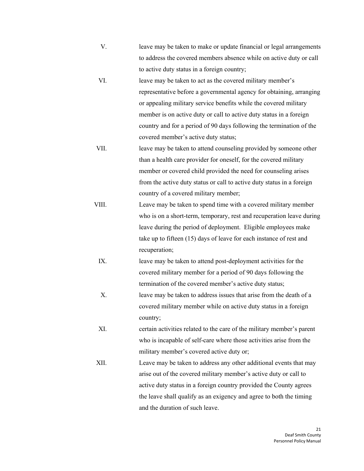- V. leave may be taken to make or update financial or legal arrangements to address the covered members absence while on active duty or call to active duty status in a foreign country;
- VI. leave may be taken to act as the covered military member's representative before a governmental agency for obtaining, arranging or appealing military service benefits while the covered military member is on active duty or call to active duty status in a foreign country and for a period of 90 days following the termination of the covered member's active duty status;
- VII. leave may be taken to attend counseling provided by someone other than a health care provider for oneself, for the covered military member or covered child provided the need for counseling arises from the active duty status or call to active duty status in a foreign country of a covered military member;
- VIII. Leave may be taken to spend time with a covered military member who is on a short-term, temporary, rest and recuperation leave during leave during the period of deployment. Eligible employees make take up to fifteen (15) days of leave for each instance of rest and recuperation;
- IX. leave may be taken to attend post-deployment activities for the covered military member for a period of 90 days following the termination of the covered member's active duty status;
- X. leave may be taken to address issues that arise from the death of a covered military member while on active duty status in a foreign country;
- XI. certain activities related to the care of the military member's parent who is incapable of self-care where those activities arise from the military member's covered active duty or;
- XII. Leave may be taken to address any other additional events that may arise out of the covered military member's active duty or call to active duty status in a foreign country provided the County agrees the leave shall qualify as an exigency and agree to both the timing and the duration of such leave.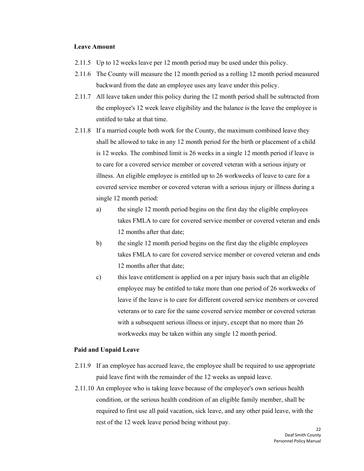#### **Leave Amount**

- 2.11.5 Up to 12 weeks leave per 12 month period may be used under this policy.
- 2.11.6 The County will measure the 12 month period as a rolling 12 month period measured backward from the date an employee uses any leave under this policy.
- 2.11.7 All leave taken under this policy during the 12 month period shall be subtracted from the employee's 12 week leave eligibility and the balance is the leave the employee is entitled to take at that time.
- 2.11.8 If a married couple both work for the County, the maximum combined leave they shall be allowed to take in any 12 month period for the birth or placement of a child is 12 weeks. The combined limit is 26 weeks in a single 12 month period if leave is to care for a covered service member or covered veteran with a serious injury or illness. An eligible employee is entitled up to 26 workweeks of leave to care for a covered service member or covered veteran with a serious injury or illness during a single 12 month period:
	- a) the single 12 month period begins on the first day the eligible employees takes FMLA to care for covered service member or covered veteran and ends 12 months after that date;
	- b) the single 12 month period begins on the first day the eligible employees takes FMLA to care for covered service member or covered veteran and ends 12 months after that date;
	- c) this leave entitlement is applied on a per injury basis such that an eligible employee may be entitled to take more than one period of 26 workweeks of leave if the leave is to care for different covered service members or covered veterans or to care for the same covered service member or covered veteran with a subsequent serious illness or injury, except that no more than 26 workweeks may be taken within any single 12 month period.

#### **Paid and Unpaid Leave**

- 2.11.9 If an employee has accrued leave, the employee shall be required to use appropriate paid leave first with the remainder of the 12 weeks as unpaid leave.
- 2.11.10 An employee who is taking leave because of the employee's own serious health condition, or the serious health condition of an eligible family member, shall be required to first use all paid vacation, sick leave, and any other paid leave, with the rest of the 12 week leave period being without pay.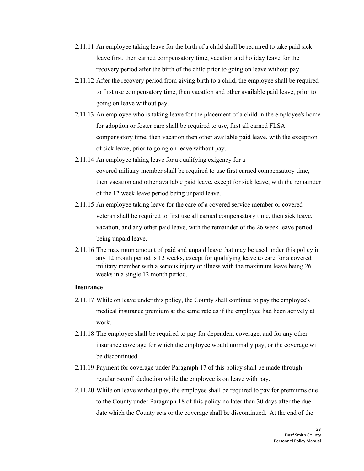- 2.11.11 An employee taking leave for the birth of a child shall be required to take paid sick leave first, then earned compensatory time, vacation and holiday leave for the recovery period after the birth of the child prior to going on leave without pay.
- 2.11.12 After the recovery period from giving birth to a child, the employee shall be required to first use compensatory time, then vacation and other available paid leave, prior to going on leave without pay.
- 2.11.13 An employee who is taking leave for the placement of a child in the employee's home for adoption or foster care shall be required to use, first all earned FLSA compensatory time, then vacation then other available paid leave, with the exception of sick leave, prior to going on leave without pay.
- 2.11.14 An employee taking leave for a qualifying exigency for a covered military member shall be required to use first earned compensatory time, then vacation and other available paid leave, except for sick leave, with the remainder of the 12 week leave period being unpaid leave.
- 2.11.15 An employee taking leave for the care of a covered service member or covered veteran shall be required to first use all earned compensatory time, then sick leave, vacation, and any other paid leave, with the remainder of the 26 week leave period being unpaid leave.
- 2.11.16 The maximum amount of paid and unpaid leave that may be used under this policy in any 12 month period is 12 weeks, except for qualifying leave to care for a covered military member with a serious injury or illness with the maximum leave being 26 weeks in a single 12 month period.

#### **Insurance**

- 2.11.17 While on leave under this policy, the County shall continue to pay the employee's medical insurance premium at the same rate as if the employee had been actively at work.
- 2.11.18 The employee shall be required to pay for dependent coverage, and for any other insurance coverage for which the employee would normally pay, or the coverage will be discontinued.
- 2.11.19 Payment for coverage under Paragraph 17 of this policy shall be made through regular payroll deduction while the employee is on leave with pay.
- 2.11.20 While on leave without pay, the employee shall be required to pay for premiums due to the County under Paragraph 18 of this policy no later than 30 days after the due date which the County sets or the coverage shall be discontinued. At the end of the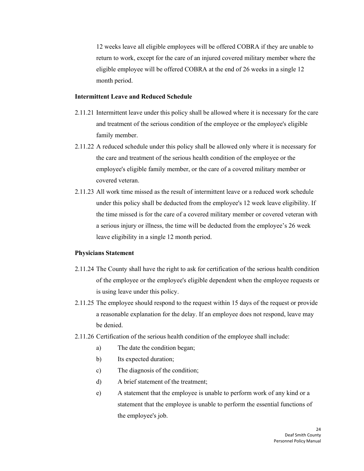12 weeks leave all eligible employees will be offered COBRA if they are unable to return to work, except for the care of an injured covered military member where the eligible employee will be offered COBRA at the end of 26 weeks in a single 12 month period.

#### **Intermittent Leave and Reduced Schedule**

- 2.11.21 Intermittent leave under this policy shall be allowed where it is necessary for the care and treatment of the serious condition of the employee or the employee's eligible family member.
- 2.11.22 A reduced schedule under this policy shall be allowed only where it is necessary for the care and treatment of the serious health condition of the employee or the employee's eligible family member, or the care of a covered military member or covered veteran.
- 2.11.23 All work time missed as the result of intermittent leave or a reduced work schedule under this policy shall be deducted from the employee's 12 week leave eligibility. If the time missed is for the care of a covered military member or covered veteran with a serious injury or illness, the time will be deducted from the employee's 26 week leave eligibility in a single 12 month period.

## **Physicians Statement**

- 2.11.24 The County shall have the right to ask for certification of the serious health condition of the employee or the employee's eligible dependent when the employee requests or is using leave under this policy.
- 2.11.25 The employee should respond to the request within 15 days of the request or provide a reasonable explanation for the delay. If an employee does not respond, leave may be denied.
- 2.11.26 Certification of the serious health condition of the employee shall include:
	- a) The date the condition began;
	- b) Its expected duration;
	- c) The diagnosis of the condition;
	- d) A brief statement of the treatment;
	- e) A statement that the employee is unable to perform work of any kind or a statement that the employee is unable to perform the essential functions of the employee's job.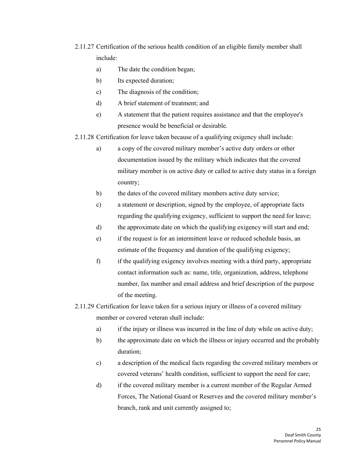- 2.11.27 Certification of the serious health condition of an eligible family member shall include:
	- a) The date the condition began;
	- b) Its expected duration;
	- c) The diagnosis of the condition;
	- d) A brief statement of treatment; and
	- e) A statement that the patient requires assistance and that the employee's presence would be beneficial or desirable.

2.11.28 Certification for leave taken because of a qualifying exigency shall include:

- a) a copy of the covered military member's active duty orders or other documentation issued by the military which indicates that the covered military member is on active duty or called to active duty status in a foreign country;
- b) the dates of the covered military members active duty service;
- c) a statement or description, signed by the employee, of appropriate facts regarding the qualifying exigency, sufficient to support the need for leave;
- d) the approximate date on which the qualifying exigency will start and end;
- e) if the request is for an intermittent leave or reduced schedule basis, an estimate of the frequency and duration of the qualifying exigency;
- f) if the qualifying exigency involves meeting with a third party, appropriate contact information such as: name, title, organization, address, telephone number, fax number and email address and brief description of the purpose of the meeting.
- 2.11.29 Certification for leave taken for a serious injury or illness of a covered military member or covered veteran shall include:
	- a) if the injury or illness was incurred in the line of duty while on active duty;
	- b) the approximate date on which the illness or injury occurred and the probably duration;
	- c) a description of the medical facts regarding the covered military members or covered veterans' health condition, sufficient to support the need for care;
	- d) if the covered military member is a current member of the Regular Armed Forces, The National Guard or Reserves and the covered military member's branch, rank and unit currently assigned to;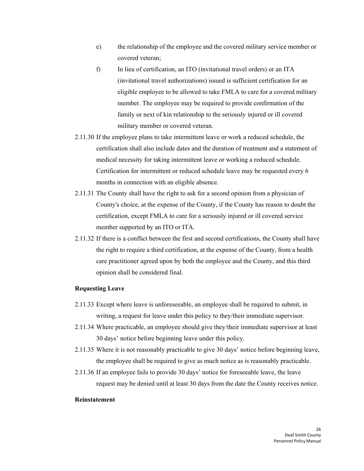- e) the relationship of the employee and the covered military service member or covered veteran;
- f) In lieu of certification, an ITO (invitational travel orders) or an ITA (invitational travel authorizations) issued is sufficient certification for an eligible employee to be allowed to take FMLA to care for a covered military member. The employee may be required to provide confirmation of the family or next of kin relationship to the seriously injured or ill covered military member or covered veteran.
- 2.11.30 If the employee plans to take intermittent leave or work a reduced schedule, the certification shall also include dates and the duration of treatment and a statement of medical necessity for taking intermittent leave or working a reduced schedule. Certification for intermittent or reduced schedule leave may be requested every 6 months in connection with an eligible absence.
- 2.11.31 The County shall have the right to ask for a second opinion from a physician of County's choice, at the expense of the County, if the County has reason to doubt the certification, except FMLA to care for a seriously injured or ill covered service member supported by an ITO or ITA.
- 2.11.32 If there is a conflict between the first and second certifications, the County shall have the right to require a third certification, at the expense of the County, from a health care practitioner agreed upon by both the employee and the County, and this third opinion shall be considered final.

#### **Requesting Leave**

- 2.11.33 Except where leave is unforeseeable, an employee shall be required to submit, in writing, a request for leave under this policy to they/their immediate supervisor.
- 2.11.34 Where practicable, an employee should give they/their immediate supervisor at least 30 days' notice before beginning leave under this policy.
- 2.11.35 Where it is not reasonably practicable to give 30 days' notice before beginning leave, the employee shall be required to give as much notice as is reasonably practicable.
- 2.11.36 If an employee fails to provide 30 days' notice for foreseeable leave, the leave request may be denied until at least 30 days from the date the County receives notice.

## **Reinstatement**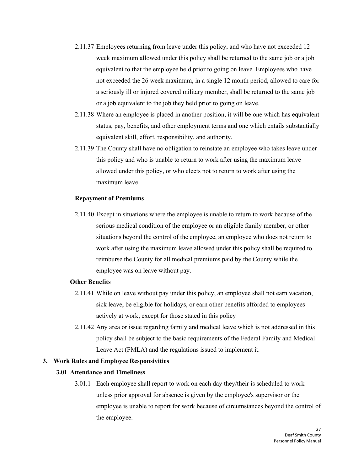- 2.11.37 Employees returning from leave under this policy, and who have not exceeded 12 week maximum allowed under this policy shall be returned to the same job or a job equivalent to that the employee held prior to going on leave. Employees who have not exceeded the 26 week maximum, in a single 12 month period, allowed to care for a seriously ill or injured covered military member, shall be returned to the same job or a job equivalent to the job they held prior to going on leave.
- 2.11.38 Where an employee is placed in another position, it will be one which has equivalent status, pay, benefits, and other employment terms and one which entails substantially equivalent skill, effort, responsibility, and authority.
- 2.11.39 The County shall have no obligation to reinstate an employee who takes leave under this policy and who is unable to return to work after using the maximum leave allowed under this policy, or who elects not to return to work after using the maximum leave.

#### **Repayment of Premiums**

2.11.40 Except in situations where the employee is unable to return to work because of the serious medical condition of the employee or an eligible family member, or other situations beyond the control of the employee, an employee who does not return to work after using the maximum leave allowed under this policy shall be required to reimburse the County for all medical premiums paid by the County while the employee was on leave without pay.

#### <span id="page-26-1"></span>**Other Benefits**

- 2.11.41 While on leave without pay under this policy, an employee shall not earn vacation, sick leave, be eligible for holidays, or earn other benefits afforded to employees actively at work, except for those stated in this policy
- 2.11.42 Any area or issue regarding family and medical leave which is not addressed in this policy shall be subject to the basic requirements of the Federal Family and Medical Leave Act (FMLA) and the regulations issued to implement it.

#### <span id="page-26-0"></span>**3. Work Rules and Employee Responsivities**

#### **3.01 Attendance and Timeliness**

3.01.1 Each employee shall report to work on each day they/their is scheduled to work unless prior approval for absence is given by the employee's supervisor or the employee is unable to report for work because of circumstances beyond the control of the employee.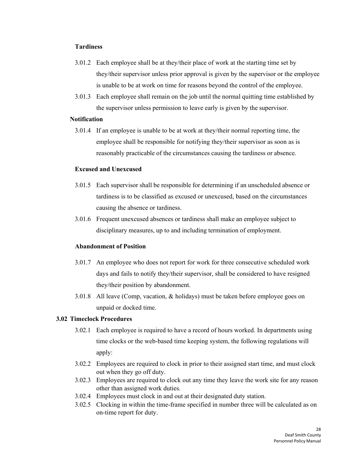#### **Tardiness**

- 3.01.2 Each employee shall be at they/their place of work at the starting time set by they/their supervisor unless prior approval is given by the supervisor or the employee is unable to be at work on time for reasons beyond the control of the employee.
- 3.01.3 Each employee shall remain on the job until the normal quitting time established by the supervisor unless permission to leave early is given by the supervisor.

## **Notification**

3.01.4 If an employee is unable to be at work at they/their normal reporting time, the employee shall be responsible for notifying they/their supervisor as soon as is reasonably practicable of the circumstances causing the tardiness or absence.

#### **Excused and Unexcused**

- 3.01.5 Each supervisor shall be responsible for determining if an unscheduled absence or tardiness is to be classified as excused or unexcused, based on the circumstances causing the absence or tardiness.
- <span id="page-27-0"></span>3.01.6 Frequent unexcused absences or tardiness shall make an employee subject to disciplinary measures, up to and including termination of employment.

## **Abandonment of Position**

- 3.01.7 An employee who does not report for work for three consecutive scheduled work days and fails to notify they/their supervisor, shall be considered to have resigned they/their position by abandonment.
- 3.01.8 All leave (Comp, vacation,  $\&$  holidays) must be taken before employee goes on unpaid or docked time.

## **3.02 Timeclock Procedures**

- 3.02.1 Each employee is required to have a record of hours worked. In departments using time clocks or the web-based time keeping system, the following regulations will apply:
- 3.02.2 Employees are required to clock in prior to their assigned start time, and must clock out when they go off duty.
- 3.02.3 Employees are required to clock out any time they leave the work site for any reason other than assigned work duties.
- 3.02.4 Employees must clock in and out at their designated duty station.
- 3.02.5 Clocking in within the time-frame specified in number three will be calculated as on on-time report for duty.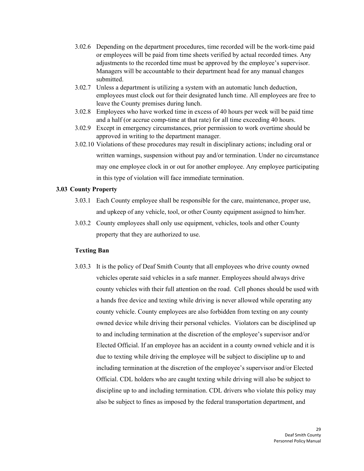- <span id="page-28-0"></span>3.02.6 Depending on the department procedures, time recorded will be the work-time paid or employees will be paid from time sheets verified by actual recorded times. Any adjustments to the recorded time must be approved by the employee's supervisor. Managers will be accountable to their department head for any manual changes submitted.
- 3.02.7 Unless a department is utilizing a system with an automatic lunch deduction, employees must clock out for their designated lunch time. All employees are free to leave the County premises during lunch.
- 3.02.8 Employees who have worked time in excess of 40 hours per week will be paid time and a half (or accrue comp-time at that rate) for all time exceeding 40 hours.
- 3.02.9 Except in emergency circumstances, prior permission to work overtime should be approved in writing to the department manager.
- 3.02.10 Violations of these procedures may result in disciplinary actions; including oral or written warnings, suspension without pay and/or termination. Under no circumstance may one employee clock in or out for another employee. Any employee participating in this type of violation will face immediate termination.

## **3.03 County Property**

- 3.03.1 Each County employee shall be responsible for the care, maintenance, proper use, and upkeep of any vehicle, tool, or other County equipment assigned to him/her.
- 3.03.2 County employees shall only use equipment, vehicles, tools and other County property that they are authorized to use.

## **Texting Ban**

3.03.3 It is the policy of Deaf Smith County that all employees who drive county owned vehicles operate said vehicles in a safe manner. Employees should always drive county vehicles with their full attention on the road. Cell phones should be used with a hands free device and texting while driving is never allowed while operating any county vehicle. County employees are also forbidden from texting on any county owned device while driving their personal vehicles. Violators can be disciplined up to and including termination at the discretion of the employee's supervisor and/or Elected Official. If an employee has an accident in a county owned vehicle and it is due to texting while driving the employee will be subject to discipline up to and including termination at the discretion of the employee's supervisor and/or Elected Official. CDL holders who are caught texting while driving will also be subject to discipline up to and including termination. CDL drivers who violate this policy may also be subject to fines as imposed by the federal transportation department, and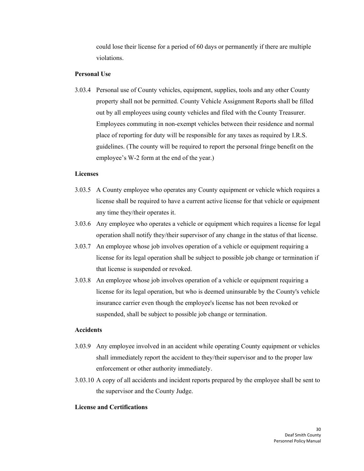could lose their license for a period of 60 days or permanently if there are multiple violations.

#### **Personal Use**

3.03.4 Personal use of County vehicles, equipment, supplies, tools and any other County property shall not be permitted. County Vehicle Assignment Reports shall be filled out by all employees using county vehicles and filed with the County Treasurer. Employees commuting in non-exempt vehicles between their residence and normal place of reporting for duty will be responsible for any taxes as required by I.R.S. guidelines. (The county will be required to report the personal fringe benefit on the employee's W-2 form at the end of the year.)

#### **Licenses**

- 3.03.5 A County employee who operates any County equipment or vehicle which requires a license shall be required to have a current active license for that vehicle or equipment any time they/their operates it.
- 3.03.6 Any employee who operates a vehicle or equipment which requires a license for legal operation shall notify they/their supervisor of any change in the status of that license.
- 3.03.7 An employee whose job involves operation of a vehicle or equipment requiring a license for its legal operation shall be subject to possible job change or termination if that license is suspended or revoked.
- 3.03.8 An employee whose job involves operation of a vehicle or equipment requiring a license for its legal operation, but who is deemed uninsurable by the County's vehicle insurance carrier even though the employee's license has not been revoked or suspended, shall be subject to possible job change or termination.

#### **Accidents**

- 3.03.9 Any employee involved in an accident while operating County equipment or vehicles shall immediately report the accident to they/their supervisor and to the proper law enforcement or other authority immediately.
- 3.03.10 A copy of all accidents and incident reports prepared by the employee shall be sent to the supervisor and the County Judge.

## **License and Certifications**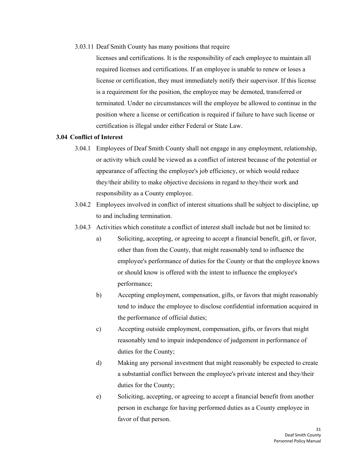#### <span id="page-30-0"></span>3.03.11 Deaf Smith County has many positions that require

licenses and certifications. It is the responsibility of each employee to maintain all required licenses and certifications. If an employee is unable to renew or loses a license or certification, they must immediately notify their supervisor. If this license is a requirement for the position, the employee may be demoted, transferred or terminated. Under no circumstances will the employee be allowed to continue in the position where a license or certification is required if failure to have such license or certification is illegal under either Federal or State Law.

## **3.04 Conflict of Interest**

- 3.04.1 Employees of Deaf Smith County shall not engage in any employment, relationship, or activity which could be viewed as a conflict of interest because of the potential or appearance of affecting the employee's job efficiency, or which would reduce they/their ability to make objective decisions in regard to they/their work and responsibility as a County employee.
- 3.04.2 Employees involved in conflict of interest situations shall be subject to discipline, up to and including termination.
- 3.04.3 Activities which constitute a conflict of interest shall include but not be limited to:
	- a) Soliciting, accepting, or agreeing to accept a financial benefit, gift, or favor, other than from the County, that might reasonably tend to influence the employee's performance of duties for the County or that the employee knows or should know is offered with the intent to influence the employee's performance;
	- b) Accepting employment, compensation, gifts, or favors that might reasonably tend to induce the employee to disclose confidential information acquired in the performance of official duties;
	- c) Accepting outside employment, compensation, gifts, or favors that might reasonably tend to impair independence of judgement in performance of duties for the County;
	- d) Making any personal investment that might reasonably be expected to create a substantial conflict between the employee's private interest and they/their duties for the County;
	- e) Soliciting, accepting, or agreeing to accept a financial benefit from another person in exchange for having performed duties as a County employee in favor of that person.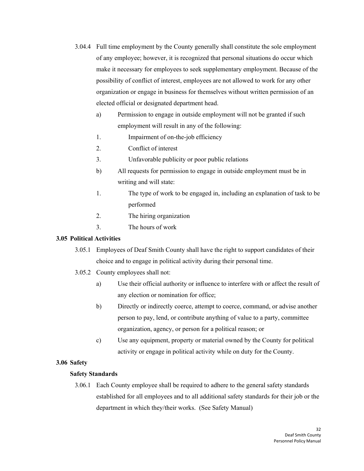- <span id="page-31-0"></span>3.04.4 Full time employment by the County generally shall constitute the sole employment of any employee; however, it is recognized that personal situations do occur which make it necessary for employees to seek supplementary employment. Because of the possibility of conflict of interest, employees are not allowed to work for any other organization or engage in business for themselves without written permission of an elected official or designated department head.
	- a) Permission to engage in outside employment will not be granted if such employment will result in any of the following:
	- 1. Impairment of on-the-job efficiency
	- 2. Conflict of interest
	- 3. Unfavorable publicity or poor public relations
	- b) All requests for permission to engage in outside employment must be in writing and will state:
	- 1. The type of work to be engaged in, including an explanation of task to be performed
	- 2. The hiring organization
	- 3. The hours of work

## <span id="page-31-1"></span>**3.05 Political Activities**

- 3.05.1 Employees of Deaf Smith County shall have the right to support candidates of their choice and to engage in political activity during their personal time.
- 3.05.2 County employees shall not:
	- a) Use their official authority or influence to interfere with or affect the result of any election or nomination for office;
	- b) Directly or indirectly coerce, attempt to coerce, command, or advise another person to pay, lend, or contribute anything of value to a party, committee organization, agency, or person for a political reason; or
	- c) Use any equipment, property or material owned by the County for political activity or engage in political activity while on duty for the County.

## **3.06 Safety**

## **Safety Standards**

3.06.1 Each County employee shall be required to adhere to the general safety standards established for all employees and to all additional safety standards for their job or the department in which they/their works. (See Safety Manual)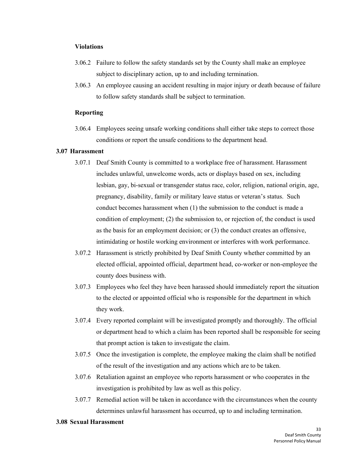#### <span id="page-32-0"></span>**Violations**

- 3.06.2 Failure to follow the safety standards set by the County shall make an employee subject to disciplinary action, up to and including termination.
- 3.06.3 An employee causing an accident resulting in major injury or death because of failure to follow safety standards shall be subject to termination.

#### **Reporting**

3.06.4 Employees seeing unsafe working conditions shall either take steps to correct those conditions or report the unsafe conditions to the department head.

## **3.07 Harassment**

- 3.07.1 Deaf Smith County is committed to a workplace free of harassment. Harassment includes unlawful, unwelcome words, acts or displays based on sex, including lesbian, gay, bi-sexual or transgender status race, color, religion, national origin, age, pregnancy, disability, family or military leave status or veteran's status. Such conduct becomes harassment when (1) the submission to the conduct is made a condition of employment; (2) the submission to, or rejection of, the conduct is used as the basis for an employment decision; or (3) the conduct creates an offensive, intimidating or hostile working environment or interferes with work performance.
- 3.07.2 Harassment is strictly prohibited by Deaf Smith County whether committed by an elected official, appointed official, department head, co-worker or non-employee the county does business with.
- 3.07.3 Employees who feel they have been harassed should immediately report the situation to the elected or appointed official who is responsible for the department in which they work.
- <span id="page-32-1"></span>3.07.4 Every reported complaint will be investigated promptly and thoroughly. The official or department head to which a claim has been reported shall be responsible for seeing that prompt action is taken to investigate the claim.
- 3.07.5 Once the investigation is complete, the employee making the claim shall be notified of the result of the investigation and any actions which are to be taken.
- 3.07.6 Retaliation against an employee who reports harassment or who cooperates in the investigation is prohibited by law as well as this policy.
- 3.07.7 Remedial action will be taken in accordance with the circumstances when the county determines unlawful harassment has occurred, up to and including termination.

#### **3.08 Sexual Harassment**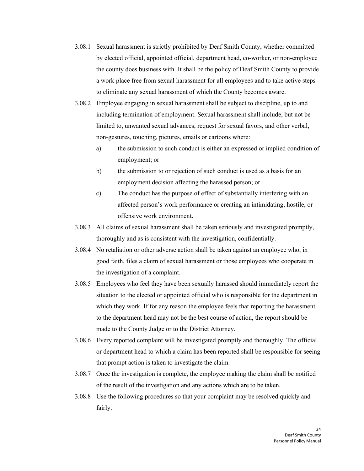- 3.08.1 Sexual harassment is strictly prohibited by Deaf Smith County, whether committed by elected official, appointed official, department head, co-worker, or non-employee the county does business with. It shall be the policy of Deaf Smith County to provide a work place free from sexual harassment for all employees and to take active steps to eliminate any sexual harassment of which the County becomes aware.
- 3.08.2 Employee engaging in sexual harassment shall be subject to discipline, up to and including termination of employment. Sexual harassment shall include, but not be limited to, unwanted sexual advances, request for sexual favors, and other verbal, non-gestures, touching, pictures, emails or cartoons where:
	- a) the submission to such conduct is either an expressed or implied condition of employment; or
	- b) the submission to or rejection of such conduct is used as a basis for an employment decision affecting the harassed person; or
	- c) The conduct has the purpose of effect of substantially interfering with an affected person's work performance or creating an intimidating, hostile, or offensive work environment.
- 3.08.3 All claims of sexual harassment shall be taken seriously and investigated promptly, thoroughly and as is consistent with the investigation, confidentially.
- 3.08.4 No retaliation or other adverse action shall be taken against an employee who, in good faith, files a claim of sexual harassment or those employees who cooperate in the investigation of a complaint.
- 3.08.5 Employees who feel they have been sexually harassed should immediately report the situation to the elected or appointed official who is responsible for the department in which they work. If for any reason the employee feels that reporting the harassment to the department head may not be the best course of action, the report should be made to the County Judge or to the District Attorney.
- 3.08.6 Every reported complaint will be investigated promptly and thoroughly. The official or department head to which a claim has been reported shall be responsible for seeing that prompt action is taken to investigate the claim.
- 3.08.7 Once the investigation is complete, the employee making the claim shall be notified of the result of the investigation and any actions which are to be taken.
- 3.08.8 Use the following procedures so that your complaint may be resolved quickly and fairly.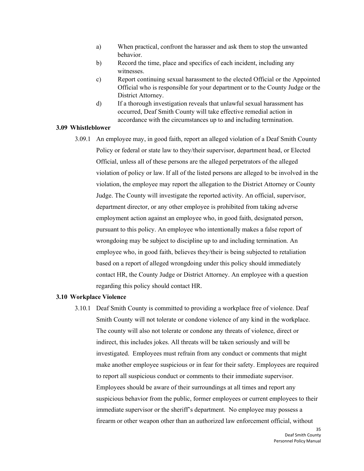- <span id="page-34-0"></span>a) When practical, confront the harasser and ask them to stop the unwanted behavior.
- b) Record the time, place and specifics of each incident, including any witnesses.
- c) Report continuing sexual harassment to the elected Official or the Appointed Official who is responsible for your department or to the County Judge or the District Attorney.
- d) If a thorough investigation reveals that unlawful sexual harassment has occurred, Deaf Smith County will take effective remedial action in accordance with the circumstances up to and including termination.

## **3.09 Whistleblower**

<span id="page-34-1"></span>3.09.1 An employee may, in good faith, report an alleged violation of a Deaf Smith County Policy or federal or state law to they/their supervisor, department head, or Elected Official, unless all of these persons are the alleged perpetrators of the alleged violation of policy or law. If all of the listed persons are alleged to be involved in the violation, the employee may report the allegation to the District Attorney or County Judge. The County will investigate the reported activity. An official, supervisor, department director, or any other employee is prohibited from taking adverse employment action against an employee who, in good faith, designated person, pursuant to this policy. An employee who intentionally makes a false report of wrongdoing may be subject to discipline up to and including termination. An employee who, in good faith, believes they/their is being subjected to retaliation based on a report of alleged wrongdoing under this policy should immediately contact HR, the County Judge or District Attorney. An employee with a question regarding this policy should contact HR.

#### **3.10 Workplace Violence**

3.10.1 Deaf Smith County is committed to providing a workplace free of violence. Deaf Smith County will not tolerate or condone violence of any kind in the workplace. The county will also not tolerate or condone any threats of violence, direct or indirect, this includes jokes. All threats will be taken seriously and will be investigated. Employees must refrain from any conduct or comments that might make another employee suspicious or in fear for their safety. Employees are required to report all suspicious conduct or comments to their immediate supervisor. Employees should be aware of their surroundings at all times and report any suspicious behavior from the public, former employees or current employees to their immediate supervisor or the sheriff's department. No employee may possess a firearm or other weapon other than an authorized law enforcement official, without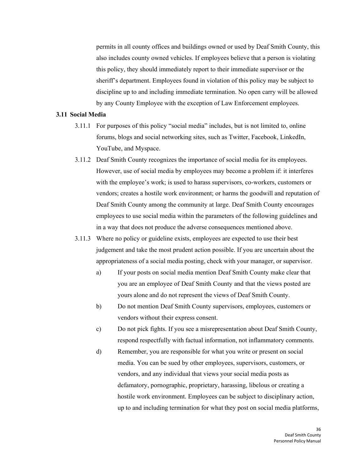<span id="page-35-0"></span>permits in all county offices and buildings owned or used by Deaf Smith County, this also includes county owned vehicles. If employees believe that a person is violating this policy, they should immediately report to their immediate supervisor or the sheriff's department. Employees found in violation of this policy may be subject to discipline up to and including immediate termination. No open carry will be allowed by any County Employee with the exception of Law Enforcement employees.

#### **3.11 Social Media**

- 3.11.1 For purposes of this policy "social media" includes, but is not limited to, online forums, blogs and social networking sites, such as Twitter, Facebook, LinkedIn, YouTube, and Myspace.
- 3.11.2 Deaf Smith County recognizes the importance of social media for its employees. However, use of social media by employees may become a problem if: it interferes with the employee's work; is used to harass supervisors, co-workers, customers or vendors; creates a hostile work environment; or harms the goodwill and reputation of Deaf Smith County among the community at large. Deaf Smith County encourages employees to use social media within the parameters of the following guidelines and in a way that does not produce the adverse consequences mentioned above.
- 3.11.3 Where no policy or guideline exists, employees are expected to use their best judgement and take the most prudent action possible. If you are uncertain about the appropriateness of a social media posting, check with your manager, or supervisor.
	- a) If your posts on social media mention Deaf Smith County make clear that you are an employee of Deaf Smith County and that the views posted are yours alone and do not represent the views of Deaf Smith County.
	- b) Do not mention Deaf Smith County supervisors, employees, customers or vendors without their express consent.
	- c) Do not pick fights. If you see a misrepresentation about Deaf Smith County, respond respectfully with factual information, not inflammatory comments.
	- d) Remember, you are responsible for what you write or present on social media. You can be sued by other employees, supervisors, customers, or vendors, and any individual that views your social media posts as defamatory, pornographic, proprietary, harassing, libelous or creating a hostile work environment. Employees can be subject to disciplinary action, up to and including termination for what they post on social media platforms,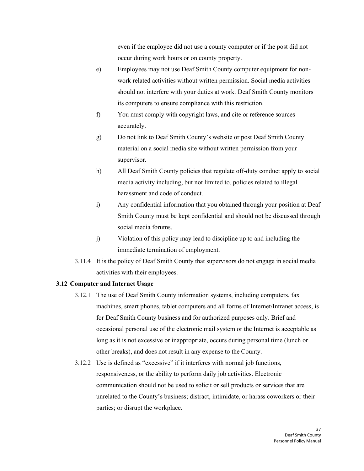even if the employee did not use a county computer or if the post did not occur during work hours or on county property.

- e) Employees may not use Deaf Smith County computer equipment for nonwork related activities without written permission. Social media activities should not interfere with your duties at work. Deaf Smith County monitors its computers to ensure compliance with this restriction.
- f) You must comply with copyright laws, and cite or reference sources accurately.
- g) Do not link to Deaf Smith County's website or post Deaf Smith County material on a social media site without written permission from your supervisor.
- <span id="page-36-0"></span>h) All Deaf Smith County policies that regulate off-duty conduct apply to social media activity including, but not limited to, policies related to illegal harassment and code of conduct.
- i) Any confidential information that you obtained through your position at Deaf Smith County must be kept confidential and should not be discussed through social media forums.
- j) Violation of this policy may lead to discipline up to and including the immediate termination of employment.
- 3.11.4 It is the policy of Deaf Smith County that supervisors do not engage in social media activities with their employees.

## **3.12 Computer and Internet Usage**

- 3.12.1 The use of Deaf Smith County information systems, including computers, fax machines, smart phones, tablet computers and all forms of Internet/Intranet access, is for Deaf Smith County business and for authorized purposes only. Brief and occasional personal use of the electronic mail system or the Internet is acceptable as long as it is not excessive or inappropriate, occurs during personal time (lunch or other breaks), and does not result in any expense to the County.
- 3.12.2 Use is defined as "excessive" if it interferes with normal job functions, responsiveness, or the ability to perform daily job activities. Electronic communication should not be used to solicit or sell products or services that are unrelated to the County's business; distract, intimidate, or harass coworkers or their parties; or disrupt the workplace.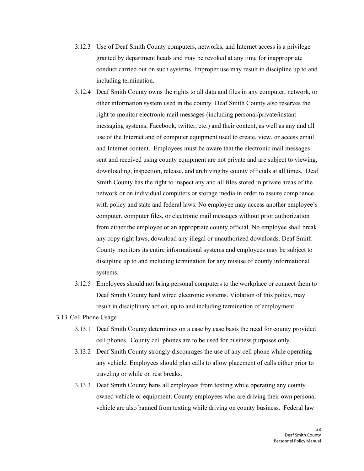- 3.12.3 Use of Deaf Smith County computers, networks, and Internet access is a privilege granted by department heads and may be revoked at any time for inappropriate conduct carried out on such systems. Improper use may result in discipline up to and including termination.
- 3.12.4 Deaf Smith County owns the rights to all data and files in any computer, network, or other information system used in the county. Deaf Smith County also reserves the right to monitor electronic mail messages (including personal/private/instant messaging systems, Facebook, twitter, etc.) and their content, as well as any and all use of the Internet and of computer equipment used to create, view, or access email and Internet content. Employees must be aware that the electronic mail messages sent and received using county equipment are not private and are subject to viewing, downloading, inspection, release, and archiving by county officials at all times. Deaf Smith County has the right to inspect any and all files stored in private areas of the network or on individual computers or storage media in order to assure compliance with policy and state and federal laws. No employee may access another employee's computer, computer files, or electronic mail messages without prior authorization from either the employee or an appropriate county official. No employee shall break any copy right laws, download any illegal or unauthorized downloads. Deaf Smith County monitors its entire informational systems and employees may be subject to discipline up to and including termination for any misuse of county informational systems.
- <span id="page-37-0"></span>3.12.5 Employees should not bring personal computers to the workplace or connect them to Deaf Smith County hard wired electronic systems. Violation of this policy, may result in disciplinary action, up to and including termination of employment.
- 3.13 Cell Phone Usage
	- 3.13.1 Deaf Smith County determines on a case by case basis the need for county provided cell phones. County cell phones are to be used for business purposes only.
	- 3.13.2 Deaf Smith County strongly discourages the use of any cell phone while operating any vehicle. Employees should plan calls to allow placement of calls either prior to traveling or while on rest breaks.
	- 3.13.3 Deaf Smith County bans all employees from texting while operating any county owned vehicle or equipment. County employees who are driving their own personal vehicle are also banned from texting while driving on county business. Federal law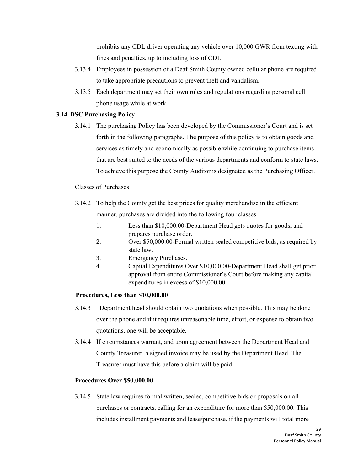prohibits any CDL driver operating any vehicle over 10,000 GWR from texting with fines and penalties, up to including loss of CDL.

- <span id="page-38-0"></span>3.13.4 Employees in possession of a Deaf Smith County owned cellular phone are required to take appropriate precautions to prevent theft and vandalism.
- 3.13.5 Each department may set their own rules and regulations regarding personal cell phone usage while at work.

## **3.14 DSC Purchasing Policy**

3.14.1 The purchasing Policy has been developed by the Commissioner's Court and is set forth in the following paragraphs. The purpose of this policy is to obtain goods and services as timely and economically as possible while continuing to purchase items that are best suited to the needs of the various departments and conform to state laws. To achieve this purpose the County Auditor is designated as the Purchasing Officer.

## Classes of Purchases

- 3.14.2 To help the County get the best prices for quality merchandise in the efficient manner, purchases are divided into the following four classes:
	- 1. Less than \$10,000.00-Department Head gets quotes for goods, and prepares purchase order.
	- 2. Over \$50,000.00-Formal written sealed competitive bids, as required by state law.
	- 3. Emergency Purchases.
	- 4. Capital Expenditures Over \$10,000.00-Department Head shall get prior approval from entire Commissioner's Court before making any capital expenditures in excess of \$10,000.00

## **Procedures, Less than \$10,000.00**

- 3.14.3 Department head should obtain two quotations when possible. This may be done over the phone and if it requires unreasonable time, effort, or expense to obtain two quotations, one will be acceptable.
- 3.14.4 If circumstances warrant, and upon agreement between the Department Head and County Treasurer, a signed invoice may be used by the Department Head. The Treasurer must have this before a claim will be paid.

## **Procedures Over \$50,000.00**

3.14.5 State law requires formal written, sealed, competitive bids or proposals on all purchases or contracts, calling for an expenditure for more than \$50,000.00. This includes installment payments and lease/purchase, if the payments will total more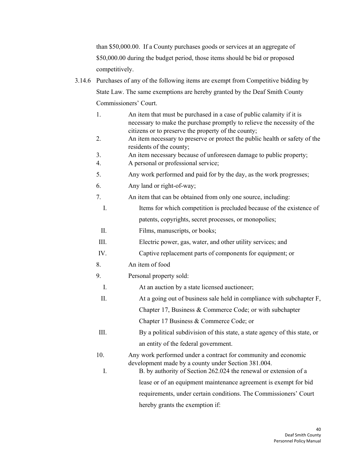than \$50,000.00. If a County purchases goods or services at an aggregate of \$50,000.00 during the budget period, those items should be bid or proposed competitively.

- 3.14.6 Purchases of any of the following items are exempt from Competitive bidding by State Law. The same exemptions are hereby granted by the Deaf Smith County Commissioners' Court.
	- 1. An item that must be purchased in a case of public calamity if it is necessary to make the purchase promptly to relieve the necessity of the citizens or to preserve the property of the county;
	- 2. An item necessary to preserve or protect the public health or safety of the residents of the county;
	- 3. An item necessary because of unforeseen damage to public property;
	- 4. A personal or professional service;
	- 5. Any work performed and paid for by the day, as the work progresses;
	- 6. Any land or right-of-way;
	- 7. An item that can be obtained from only one source, including:
	- I. Items for which competition is precluded because of the existence of patents, copyrights, secret processes, or monopolies;
	- II. Films, manuscripts, or books;
	- III. Electric power, gas, water, and other utility services; and
	- IV. Captive replacement parts of components for equipment; or
	- 8. An item of food
	- 9. Personal property sold:
	- I. At an auction by a state licensed auctioneer;
	- II. At a going out of business sale held in compliance with subchapter F, Chapter 17, Business & Commerce Code; or with subchapter

Chapter 17 Business & Commerce Code; or

- III. By a political subdivision of this state, a state agency of this state, or an entity of the federal government.
- 10. Any work performed under a contract for community and economic development made by a county under Section 381.004.
	- I. B. by authority of Section 262.024 the renewal or extension of a lease or of an equipment maintenance agreement is exempt for bid requirements, under certain conditions. The Commissioners' Court hereby grants the exemption if: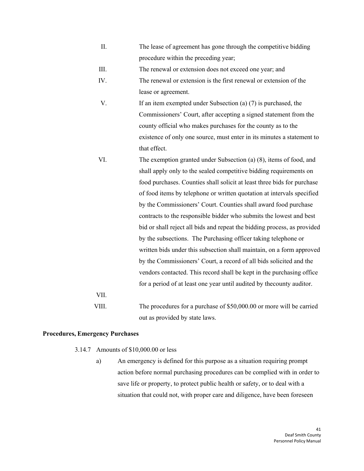- II. The lease of agreement has gone through the competitive bidding procedure within the preceding year;
- III. The renewal or extension does not exceed one year; and
- IV. The renewal or extension is the first renewal or extension of the lease or agreement.
- V. If an item exempted under Subsection (a) (7) is purchased, the Commissioners' Court, after accepting a signed statement from the county official who makes purchases for the county as to the existence of only one source, must enter in its minutes a statement to that effect.
- VI. The exemption granted under Subsection (a) (8), items of food, and shall apply only to the sealed competitive bidding requirements on food purchases. Counties shall solicit at least three bids for purchase of food items by telephone or written quotation at intervals specified by the Commissioners' Court. Counties shall award food purchase contracts to the responsible bidder who submits the lowest and best bid or shall reject all bids and repeat the bidding process, as provided by the subsections. The Purchasing officer taking telephone or written bids under this subsection shall maintain, on a form approved by the Commissioners' Court, a record of all bids solicited and the vendors contacted. This record shall be kept in the purchasing office for a period of at least one year until audited by thecounty auditor. VII.
- 

VIII. The procedures for a purchase of \$50,000.00 or more will be carried out as provided by state laws.

#### **Procedures, Emergency Purchases**

- 3.14.7 Amounts of \$10,000.00 or less
	- a) An emergency is defined for this purpose as a situation requiring prompt action before normal purchasing procedures can be complied with in order to save life or property, to protect public health or safety, or to deal with a situation that could not, with proper care and diligence, have been foreseen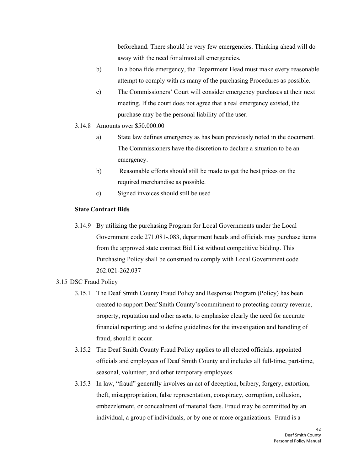beforehand. There should be very few emergencies. Thinking ahead will do away with the need for almost all emergencies.

- b) In a bona fide emergency, the Department Head must make every reasonable attempt to comply with as many of the purchasing Procedures as possible.
- c) The Commissioners' Court will consider emergency purchases at their next meeting. If the court does not agree that a real emergency existed, the purchase may be the personal liability of the user.
- 3.14.8 Amounts over \$50.000.00
	- a) State law defines emergency as has been previously noted in the document. The Commissioners have the discretion to declare a situation to be an emergency.
	- b) Reasonable efforts should still be made to get the best prices on the required merchandise as possible.
	- c) Signed invoices should still be used

## **State Contract Bids**

3.14.9 By utilizing the purchasing Program for Local Governments under the Local Government code 271.081-.083, department heads and officials may purchase items from the approved state contract Bid List without competitive bidding. This Purchasing Policy shall be construed to comply with Local Government code 262.021-262.037

## 3.15 DSC Fraud Policy

- 3.15.1 The Deaf Smith County Fraud Policy and Response Program (Policy) has been created to support Deaf Smith County's commitment to protecting county revenue, property, reputation and other assets; to emphasize clearly the need for accurate financial reporting; and to define guidelines for the investigation and handling of fraud, should it occur.
- 3.15.2 The Deaf Smith County Fraud Policy applies to all elected officials, appointed officials and employees of Deaf Smith County and includes all full-time, part-time, seasonal, volunteer, and other temporary employees.
- 3.15.3 In law, "fraud" generally involves an act of deception, bribery, forgery, extortion, theft, misappropriation, false representation, conspiracy, corruption, collusion, embezzlement, or concealment of material facts. Fraud may be committed by an individual, a group of individuals, or by one or more organizations. Fraud is a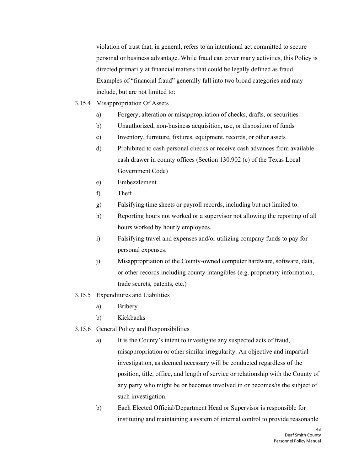violation of trust that, in general, refers to an intentional act committed to secure personal or business advantage. While fraud can cover many activities, this Policy is directed primarily at financial matters that could be legally defined as fraud. Examples of "financial fraud" generally fall into two broad categories and may include, but are not limited to:

- 3.15.4 Misappropriation Of Assets
	- a) Forgery, alteration or misappropriation of checks, drafts, or securities
	- b) Unauthorized, non-business acquisition, use, or disposition of funds
	- c) Inventory, furniture, fixtures, equipment, records, or other assets
	- d) Prohibited to cash personal checks or receive cash advances from available cash drawer in county offices (Section 130.902 (c) of the Texas Local Government Code)
	- e) Embezzlement
	- f) Theft
	- g) Falsifying time sheets or payroll records, including but not limited to:
	- h) Reporting hours not worked or a supervisor not allowing the reporting of all hours worked by hourly employees.
	- i) Falsifying travel and expenses and/or utilizing company funds to pay for personal expenses.
	- j) Misappropriation of the County-owned computer hardware, software, data, or other records including county intangibles (e.g. proprietary information, trade secrets, patents, etc.)
- 3.15.5 Expenditures and Liabilities
	- a) Bribery
	- b) Kickbacks
- 3.15.6 General Policy and Responsibilities
	- a) It is the County's intent to investigate any suspected acts of fraud, misappropriation or other similar irregularity. An objective and impartial investigation, as deemed necessary will be conducted regardless of the position, title, office, and length of service or relationship with the County of any party who might be or becomes involved in or becomes/is the subject of such investigation.
	- b) Each Elected Official/Department Head or Supervisor is responsible for instituting and maintaining a system of internal control to provide reasonable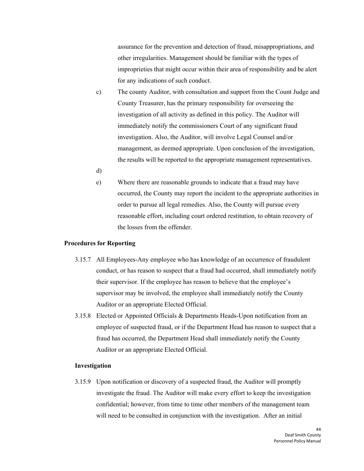assurance for the prevention and detection of fraud, misappropriations, and other irregularities. Management should be familiar with the types of improprieties that might occur within their area of responsibility and be alert for any indications of such conduct.

- c) The county Auditor, with consultation and support from the Count Judge and County Treasurer, has the primary responsibility for overseeing the investigation of all activity as defined in this policy. The Auditor will immediately notify the commissioners Court of any significant fraud investigation. Also, the Auditor, will involve Legal Counsel and/or management, as deemed appropriate. Upon conclusion of the investigation, the results will be reported to the appropriate management representatives.
- d)
- e) Where there are reasonable grounds to indicate that a fraud may have occurred, the County may report the incident to the appropriate authorities in order to pursue all legal remedies. Also, the County will pursue every reasonable effort, including court ordered restitution, to obtain recovery of the losses from the offender.

#### **Procedures for Reporting**

- 3.15.7 All Employees-Any employee who has knowledge of an occurrence of fraudulent conduct, or has reason to suspect that a fraud had occurred, shall immediately notify their supervisor. If the employee has reason to believe that the employee's supervisor may be involved, the employee shall immediately notify the County Auditor or an appropriate Elected Official.
- 3.15.8 Elected or Appointed Officials & Departments Heads-Upon notification from an employee of suspected fraud, or if the Department Head has reason to suspect that a fraud has occurred, the Department Head shall immediately notify the County Auditor or an appropriate Elected Official.

#### **Investigation**

3.15.9 Upon notification or discovery of a suspected fraud, the Auditor will promptly investigate the fraud. The Auditor will make every effort to keep the investigation confidential; however, from time to time other members of the management team will need to be consulted in conjunction with the investigation. After an initial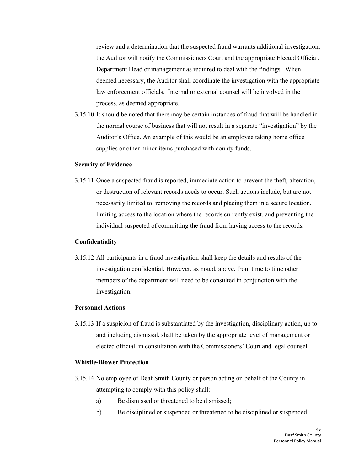review and a determination that the suspected fraud warrants additional investigation, the Auditor will notify the Commissioners Court and the appropriate Elected Official, Department Head or management as required to deal with the findings. When deemed necessary, the Auditor shall coordinate the investigation with the appropriate law enforcement officials. Internal or external counsel will be involved in the process, as deemed appropriate.

3.15.10 It should be noted that there may be certain instances of fraud that will be handled in the normal course of business that will not result in a separate "investigation" by the Auditor's Office. An example of this would be an employee taking home office supplies or other minor items purchased with county funds.

#### **Security of Evidence**

3.15.11 Once a suspected fraud is reported, immediate action to prevent the theft, alteration, or destruction of relevant records needs to occur. Such actions include, but are not necessarily limited to, removing the records and placing them in a secure location, limiting access to the location where the records currently exist, and preventing the individual suspected of committing the fraud from having access to the records.

#### **Confidentiality**

3.15.12 All participants in a fraud investigation shall keep the details and results of the investigation confidential. However, as noted, above, from time to time other members of the department will need to be consulted in conjunction with the investigation.

#### **Personnel Actions**

3.15.13 If a suspicion of fraud is substantiated by the investigation, disciplinary action, up to and including dismissal, shall be taken by the appropriate level of management or elected official, in consultation with the Commissioners' Court and legal counsel.

#### **Whistle-Blower Protection**

- 3.15.14 No employee of Deaf Smith County or person acting on behalf of the County in attempting to comply with this policy shall:
	- a) Be dismissed or threatened to be dismissed;
	- b) Be disciplined or suspended or threatened to be disciplined or suspended;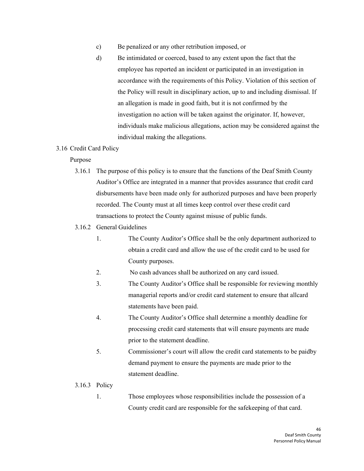- <span id="page-45-0"></span>c) Be penalized or any other retribution imposed, or
- d) Be intimidated or coerced, based to any extent upon the fact that the employee has reported an incident or participated in an investigation in accordance with the requirements of this Policy. Violation of this section of the Policy will result in disciplinary action, up to and including dismissal. If an allegation is made in good faith, but it is not confirmed by the investigation no action will be taken against the originator. If, however, individuals make malicious allegations, action may be considered against the individual making the allegations.

#### 3.16 Credit Card Policy

#### Purpose

- 3.16.1 The purpose of this policy is to ensure that the functions of the Deaf Smith County Auditor's Office are integrated in a manner that provides assurance that credit card disbursements have been made only for authorized purposes and have been properly recorded. The County must at all times keep control over these credit card transactions to protect the County against misuse of public funds.
- 3.16.2 General Guidelines
	- 1. The County Auditor's Office shall be the only department authorized to obtain a credit card and allow the use of the credit card to be used for County purposes.
	- 2. No cash advances shall be authorized on any card issued.
	- 3. The County Auditor's Office shall be responsible for reviewing monthly managerial reports and/or credit card statement to ensure that allcard statements have been paid.
	- 4. The County Auditor's Office shall determine a monthly deadline for processing credit card statements that will ensure payments are made prior to the statement deadline.
	- 5. Commissioner's court will allow the credit card statements to be paidby demand payment to ensure the payments are made prior to the statement deadline.
- 3.16.3 Policy
	- 1. Those employees whose responsibilities include the possession of a County credit card are responsible for the safekeeping of that card.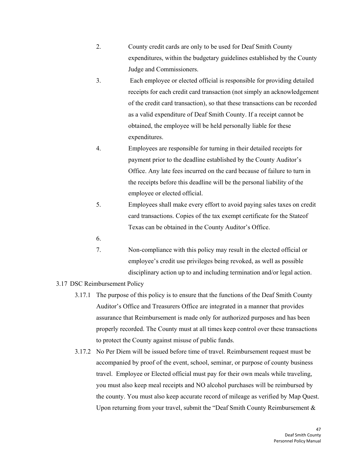- 2. County credit cards are only to be used for Deaf Smith County expenditures, within the budgetary guidelines established by the County Judge and Commissioners.
- 3. Each employee or elected official is responsible for providing detailed receipts for each credit card transaction (not simply an acknowledgement of the credit card transaction), so that these transactions can be recorded as a valid expenditure of Deaf Smith County. If a receipt cannot be obtained, the employee will be held personally liable for these expenditures.
- 4. Employees are responsible for turning in their detailed receipts for payment prior to the deadline established by the County Auditor's Office. Any late fees incurred on the card because of failure to turn in the receipts before this deadline will be the personal liability of the employee or elected official.
- <span id="page-46-0"></span>5. Employees shall make every effort to avoid paying sales taxes on credit card transactions. Copies of the tax exempt certificate for the Stateof Texas can be obtained in the County Auditor's Office.
- 6.
- 7. Non-compliance with this policy may result in the elected official or employee's credit use privileges being revoked, as well as possible disciplinary action up to and including termination and/or legal action.
- 3.17 DSC Reimbursement Policy
	- 3.17.1 The purpose of this policy is to ensure that the functions of the Deaf Smith County Auditor's Office and Treasurers Office are integrated in a manner that provides assurance that Reimbursement is made only for authorized purposes and has been properly recorded. The County must at all times keep control over these transactions to protect the County against misuse of public funds.
	- 3.17.2 No Per Diem will be issued before time of travel. Reimbursement request must be accompanied by proof of the event, school, seminar, or purpose of county business travel. Employee or Elected official must pay for their own meals while traveling, you must also keep meal receipts and NO alcohol purchases will be reimbursed by the county. You must also keep accurate record of mileage as verified by Map Quest. Upon returning from your travel, submit the "Deaf Smith County Reimbursement &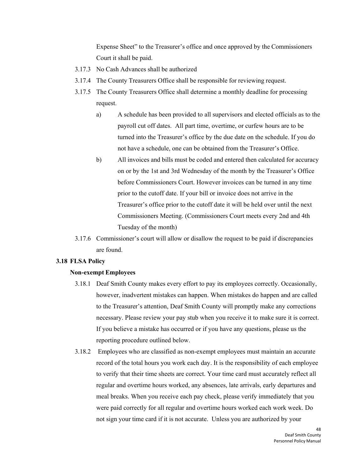Expense Sheet" to the Treasurer's office and once approved by the Commissioners Court it shall be paid.

- 3.17.3 No Cash Advances shall be authorized
- 3.17.4 The County Treasurers Office shall be responsible for reviewing request.
- <span id="page-47-0"></span>3.17.5 The County Treasurers Office shall determine a monthly deadline for processing request.
	- a) A schedule has been provided to all supervisors and elected officials as to the payroll cut off dates. All part time, overtime, or curfew hours are to be turned into the Treasurer's office by the due date on the schedule. If you do not have a schedule, one can be obtained from the Treasurer's Office.
	- b) All invoices and bills must be coded and entered then calculated for accuracy on or by the 1st and 3rd Wednesday of the month by the Treasurer's Office before Commissioners Court. However invoices can be turned in any time prior to the cutoff date. If your bill or invoice does not arrive in the Treasurer's office prior to the cutoff date it will be held over until the next Commissioners Meeting. (Commissioners Court meets every 2nd and 4th Tuesday of the month)
- 3.17.6 Commissioner's court will allow or disallow the request to be paid if discrepancies are found.

#### **3.18 FLSA Policy**

#### **Non-exempt Employees**

- 3.18.1 Deaf Smith County makes every effort to pay its employees correctly. Occasionally, however, inadvertent mistakes can happen. When mistakes do happen and are called to the Treasurer's attention, Deaf Smith County will promptly make any corrections necessary. Please review your pay stub when you receive it to make sure it is correct. If you believe a mistake has occurred or if you have any questions, please us the reporting procedure outlined below.
- 3.18.2 Employees who are classified as non-exempt employees must maintain an accurate record of the total hours you work each day. It is the responsibility of each employee to verify that their time sheets are correct. Your time card must accurately reflect all regular and overtime hours worked, any absences, late arrivals, early departures and meal breaks. When you receive each pay check, please verify immediately that you were paid correctly for all regular and overtime hours worked each work week. Do not sign your time card if it is not accurate. Unless you are authorized by your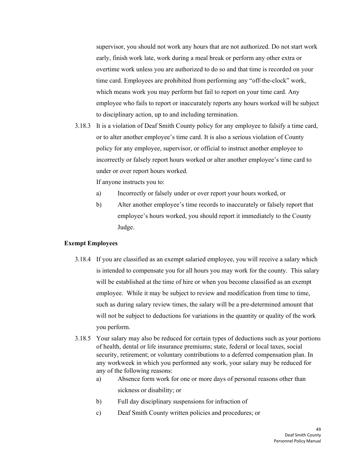supervisor, you should not work any hours that are not authorized. Do not start work early, finish work late, work during a meal break or perform any other extra or overtime work unless you are authorized to do so and that time is recorded on your time card. Employees are prohibited from performing any "off-the-clock" work, which means work you may perform but fail to report on your time card. Any employee who fails to report or inaccurately reports any hours worked will be subject to disciplinary action, up to and including termination.

3.18.3 It is a violation of Deaf Smith County policy for any employee to falsify a time card, or to alter another employee's time card. It is also a serious violation of County policy for any employee, supervisor, or official to instruct another employee to incorrectly or falsely report hours worked or alter another employee's time card to under or over report hours worked.

If anyone instructs you to:

- a) Incorrectly or falsely under or over report your hours worked, or
- b) Alter another employee's time records to inaccurately or falsely report that employee's hours worked, you should report it immediately to the County Judge.

#### **Exempt Employees**

- 3.18.4 If you are classified as an exempt salaried employee, you will receive a salary which is intended to compensate you for all hours you may work for the county. This salary will be established at the time of hire or when you become classified as an exempt employee. While it may be subject to review and modification from time to time, such as during salary review times, the salary will be a pre-determined amount that will not be subject to deductions for variations in the quantity or quality of the work you perform.
- 3.18.5 Your salary may also be reduced for certain types of deductions such as your portions of health, dental or life insurance premiums; state, federal or local taxes, social security, retirement; or voluntary contributions to a deferred compensation plan. In any workweek in which you performed any work, your salary may be reduced for any of the following reasons:
	- a) Absence form work for one or more days of personal reasons other than sickness or disability; or
	- b) Full day disciplinary suspensions for infraction of
	- c) Deaf Smith County written policies and procedures; or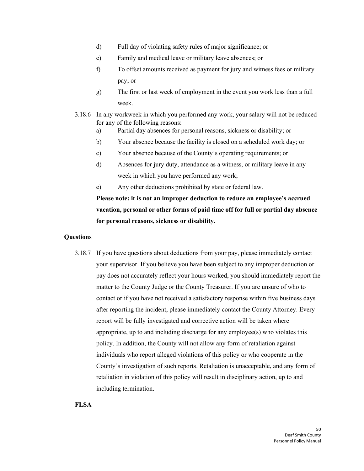- d) Full day of violating safety rules of major significance; or
- e) Family and medical leave or military leave absences; or
- f) To offset amounts received as payment for jury and witness fees or military pay; or
- g) The first or last week of employment in the event you work less than a full week.
- 3.18.6 In any workweek in which you performed any work, your salary will not be reduced for any of the following reasons:
	- a) Partial day absences for personal reasons, sickness or disability; or
	- b) Your absence because the facility is closed on a scheduled work day; or
	- c) Your absence because of the County's operating requirements; or
	- d) Absences for jury duty, attendance as a witness, or military leave in any week in which you have performed any work;
	- e) Any other deductions prohibited by state or federal law.

**Please note: it is not an improper deduction to reduce an employee's accrued vacation, personal or other forms of paid time off for full or partial day absence for personal reasons, sickness or disability.**

## **Questions**

3.18.7 If you have questions about deductions from your pay, please immediately contact your supervisor. If you believe you have been subject to any improper deduction or pay does not accurately reflect your hours worked, you should immediately report the matter to the County Judge or the County Treasurer. If you are unsure of who to contact or if you have not received a satisfactory response within five business days after reporting the incident, please immediately contact the County Attorney. Every report will be fully investigated and corrective action will be taken where appropriate, up to and including discharge for any employee(s) who violates this policy. In addition, the County will not allow any form of retaliation against individuals who report alleged violations of this policy or who cooperate in the County's investigation of such reports. Retaliation is unacceptable, and any form of retaliation in violation of this policy will result in disciplinary action, up to and including termination.

**FLSA**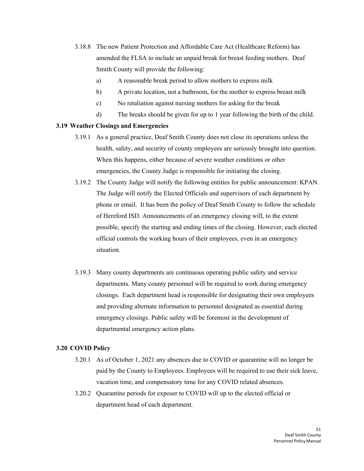- <span id="page-50-0"></span>3.18.8 The new Patient Protection and Affordable Care Act (Healthcare Reform) has amended the FLSA to include an unpaid break for breast feeding mothers. Deaf Smith County will provide the following:
	- a) A reasonable break period to allow mothers to express milk
	- b) A private location, not a bathroom, for the mother to express breast milk
	- c) No retaliation against nursing mothers for asking for the break
	- d) The breaks should be given for up to 1 year following the birth of the child.

## **3.19 Weather Closings and Emergencies**

- 3.19.1 As a general practice, Deaf Smith County does not close its operations unless the health, safety, and security of county employees are seriously brought into question. When this happens, either because of severe weather conditions or other emergencies, the County Judge is responsible for initiating the closing.
- 3.19.2 The County Judge will notify the following entities for public announcement: KPAN. The Judge will notify the Elected Officials and supervisors of each department by phone or email. It has been the policy of Deaf Smith County to follow the schedule of Hereford ISD. Announcements of an emergency closing will, to the extent possible, specify the starting and ending times of the closing. However, each elected official controls the working hours of their employees, even in an emergency situation.
- <span id="page-50-1"></span>3.19.3 Many county departments are continuous operating public safety and service departments. Many county personnel will be required to work during emergency closings. Each department head is responsible for designating their own employees and providing alternate information to personnel designated as essential during emergency closings. Public safety will be foremost in the development of departmental emergency action plans.

## **3.20 COVID Policy**

- 3.20.1 As of October 1, 2021 any absences due to COVID or quarantine will no longer be paid by the County to Employees. Employees will be required to use their sick leave, vacation time, and compensatory time for any COVID related absences.
- 3.20.2 Quarantine periods for exposer to COVID will up to the elected official or department head of each department.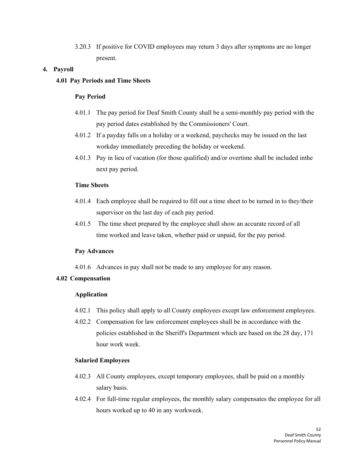3.20.3 If positive for COVID employees may return 3 days after symptoms are no longer present.

## <span id="page-51-0"></span>**4. Payroll**

## **4.01 Pay Periods and Time Sheets**

## **Pay Period**

- 4.01.1 The pay period for Deaf Smith County shall be a semi-monthly pay period with the pay period dates established by the Commissioners' Court.
- 4.01.2 If a payday falls on a holiday or a weekend, paychecks may be issued on the last workday immediately preceding the holiday or weekend.
- <span id="page-51-1"></span>4.01.3 Pay in lieu of vacation (for those qualified) and/or overtime shall be included inthe next pay period.

## **Time Sheets**

- 4.01.4 Each employee shall be required to fill out a time sheet to be turned in to they/their supervisor on the last day of each pay period.
- 4.01.5 The time sheet prepared by the employee shall show an accurate record of all time worked and leave taken, whether paid or unpaid, for the pay period.

## **Pay Advances**

4.01.6 Advances in pay shall not be made to any employee for any reason.

## **4.02 Compensation**

## **Application**

- 4.02.1 This policy shall apply to all County employees except law enforcement employees.
- 4.02.2 Compensation for law enforcement employees shall be in accordance with the policies established in the Sheriff's Department which are based on the 28 day, 171 hour work week.

## **Salaried Employees**

- 4.02.3 All County employees, except temporary employees, shall be paid on a monthly salary basis.
- 4.02.4 For full-time regular employees, the monthly salary compensates the employee for all hours worked up to 40 in any workweek.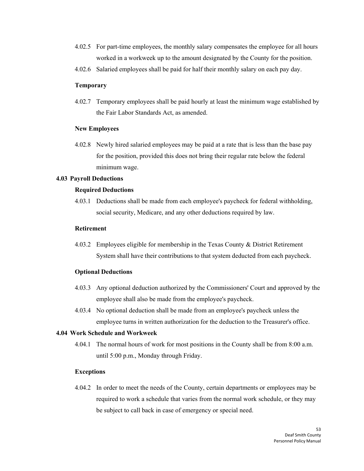- <span id="page-52-0"></span>4.02.5 For part-time employees, the monthly salary compensates the employee for all hours worked in a workweek up to the amount designated by the County for the position.
- 4.02.6 Salaried employees shall be paid for half their monthly salary on each pay day.

#### **Temporary**

4.02.7 Temporary employees shall be paid hourly at least the minimum wage established by the Fair Labor Standards Act, as amended.

#### **New Employees**

4.02.8 Newly hired salaried employees may be paid at a rate that is less than the base pay for the position, provided this does not bring their regular rate below the federal minimum wage.

## **4.03 Payroll Deductions**

#### **Required Deductions**

4.03.1 Deductions shall be made from each employee's paycheck for federal withholding, social security, Medicare, and any other deductions required by law.

#### <span id="page-52-1"></span>**Retirement**

4.03.2 Employees eligible for membership in the Texas County & District Retirement System shall have their contributions to that system deducted from each paycheck.

## **Optional Deductions**

- 4.03.3 Any optional deduction authorized by the Commissioners' Court and approved by the employee shall also be made from the employee's paycheck.
- 4.03.4 No optional deduction shall be made from an employee's paycheck unless the employee turns in written authorization for the deduction to the Treasurer's office.

## **4.04 Work Schedule and Workweek**

4.04.1 The normal hours of work for most positions in the County shall be from 8:00 a.m. until 5:00 p.m., Monday through Friday.

## **Exceptions**

4.04.2 In order to meet the needs of the County, certain departments or employees may be required to work a schedule that varies from the normal work schedule, or they may be subject to call back in case of emergency or special need.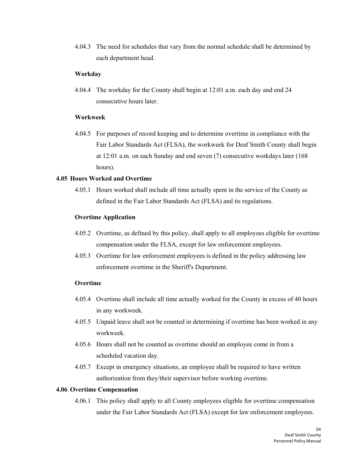<span id="page-53-0"></span>4.04.3 The need for schedules that vary from the normal schedule shall be determined by each department head.

#### **Workday**

4.04.4 The workday for the County shall begin at 12:01 a.m. each day and end 24 consecutive hours later.

## **Workweek**

4.04.5 For purposes of record keeping and to determine overtime in compliance with the Fair Labor Standards Act (FLSA), the workweek for Deaf Smith County shall begin at 12:01 a.m. on each Sunday and end seven (7) consecutive workdays later (168 hours).

## **4.05 Hours Worked and Overtime**

4.05.1 Hours worked shall include all time actually spent in the service of the County as defined in the Fair Labor Standards Act (FLSA) and its regulations.

#### **Overtime Application**

- 4.05.2 Overtime, as defined by this policy, shall apply to all employees eligible for overtime compensation under the FLSA, except for law enforcement employees.
- 4.05.3 Overtime for law enforcement employees is defined in the policy addressing law enforcement overtime in the Sheriff's Department.

## <span id="page-53-1"></span>**Overtime**

- 4.05.4 Overtime shall include all time actually worked for the County in excess of 40 hours in any workweek.
- 4.05.5 Unpaid leave shall not be counted in determining if overtime has been worked in any workweek.
- 4.05.6 Hours shall not be counted as overtime should an employee come in from a scheduled vacation day.
- 4.05.7 Except in emergency situations, an employee shall be required to have written authorization from they/their supervisor before working overtime.

#### **4.06 Overtime Compensation**

4.06.1 This policy shall apply to all County employees eligible for overtime compensation under the Fair Labor Standards Act (FLSA) except for law enforcement employees.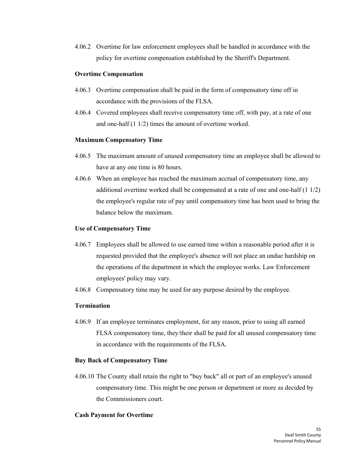4.06.2 Overtime for law enforcement employees shall be handled in accordance with the policy for overtime compensation established by the Sheriff's Department.

#### **Overtime Compensation**

- 4.06.3 Overtime compensation shall be paid in the form of compensatory time off in accordance with the provisions of the FLSA.
- 4.06.4 Covered employees shall receive compensatory time off, with pay, at a rate of one and one-half (1 1/2) times the amount of overtime worked.

## **Maximum Compensatory Time**

- 4.06.5 The maximum amount of unused compensatory time an employee shall be allowed to have at any one time is 80 hours.
- 4.06.6 When an employee has reached the maximum accrual of compensatory time, any additional overtime worked shall be compensated at a rate of one and one-half (1 1/2) the employee's regular rate of pay until compensatory time has been used to bring the balance below the maximum.

#### **Use of Compensatory Time**

- 4.06.7 Employees shall be allowed to use earned time within a reasonable period after it is requested provided that the employee's absence will not place an undue hardship on the operations of the department in which the employee works. Law Enforcement employees' policy may vary.
- 4.06.8 Compensatory time may be used for any purpose desired by the employee.

## **Termination**

4.06.9 If an employee terminates employment, for any reason, prior to using all earned FLSA compensatory time, they/their shall be paid for all unused compensatory time in accordance with the requirements of the FLSA.

## **Buy Back of Compensatory Time**

4.06.10 The County shall retain the right to "buy back" all or part of an employee's unused compensatory time. This might be one person or department or more as decided by the Commissioners court.

## **Cash Payment for Overtime**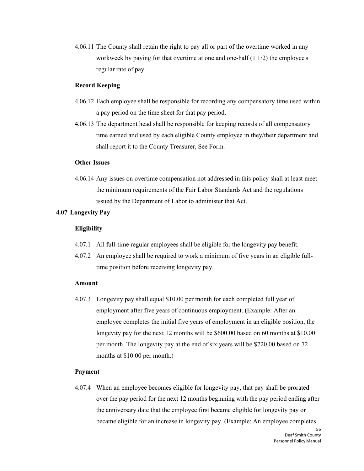4.06.11 The County shall retain the right to pay all or part of the overtime worked in any workweek by paying for that overtime at one and one-half (1 1/2) the employee's regular rate of pay.

## **Record Keeping**

- <span id="page-55-0"></span>4.06.12 Each employee shall be responsible for recording any compensatory time used within a pay period on the time sheet for that pay period.
- 4.06.13 The department head shall be responsible for keeping records of all compensatory time earned and used by each eligible County employee in they/their department and shall report it to the County Treasurer, See Form.

#### **Other Issues**

4.06.14 Any issues on overtime compensation not addressed in this policy shall at least meet the minimum requirements of the Fair Labor Standards Act and the regulations issued by the Department of Labor to administer that Act.

## **4.07 Longevity Pay**

#### **Eligibility**

- 4.07.1 All full-time regular employees shall be eligible for the longevity pay benefit.
- 4.07.2 An employee shall be required to work a minimum of five years in an eligible fulltime position before receiving longevity pay.

#### **Amount**

4.07.3 Longevity pay shall equal \$10.00 per month for each completed full year of employment after five years of continuous employment. (Example: After an employee completes the initial five years of employment in an eligible position, the longevity pay for the next 12 months will be \$600.00 based on 60 months at \$10.00 per month. The longevity pay at the end of six years will be \$720.00 based on 72 months at \$10.00 per month.)

#### **Payment**

4.07.4 When an employee becomes eligible for longevity pay, that pay shall be prorated over the pay period for the next 12 months beginning with the pay period ending after the anniversary date that the employee first became eligible for longevity pay or became eligible for an increase in longevity pay. (Example: An employee completes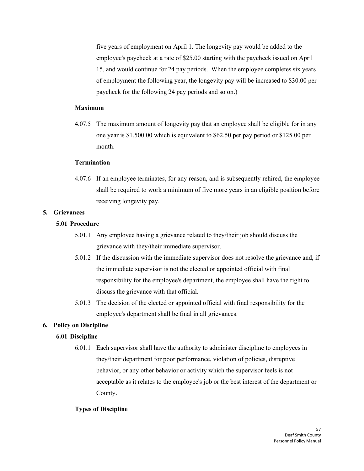five years of employment on April 1. The longevity pay would be added to the employee's paycheck at a rate of \$25.00 starting with the paycheck issued on April 15, and would continue for 24 pay periods. When the employee completes six years of employment the following year, the longevity pay will be increased to \$30.00 per paycheck for the following 24 pay periods and so on.)

#### **Maximum**

<span id="page-56-1"></span>4.07.5 The maximum amount of longevity pay that an employee shall be eligible for in any one year is \$1,500.00 which is equivalent to \$62.50 per pay period or \$125.00 per month.

#### **Termination**

4.07.6 If an employee terminates, for any reason, and is subsequently rehired, the employee shall be required to work a minimum of five more years in an eligible position before receiving longevity pay.

## <span id="page-56-3"></span><span id="page-56-0"></span>**5. Grievances**

#### **5.01 Procedure**

- 5.01.1 Any employee having a grievance related to they/their job should discuss the grievance with they/their immediate supervisor.
- 5.01.2 If the discussion with the immediate supervisor does not resolve the grievance and, if the immediate supervisor is not the elected or appointed official with final responsibility for the employee's department, the employee shall have the right to discuss the grievance with that official.
- 5.01.3 The decision of the elected or appointed official with final responsibility for the employee's department shall be final in all grievances.

#### <span id="page-56-2"></span>**6. Policy on Discipline**

#### **6.01 Discipline**

6.01.1 Each supervisor shall have the authority to administer discipline to employees in they/their department for poor performance, violation of policies, disruptive behavior, or any other behavior or activity which the supervisor feels is not acceptable as it relates to the employee's job or the best interest of the department or County.

## **Types of Discipline**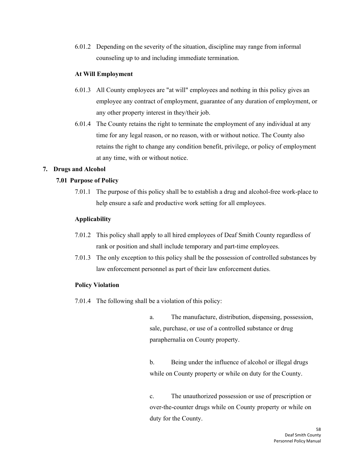<span id="page-57-1"></span>6.01.2 Depending on the severity of the situation, discipline may range from informal counseling up to and including immediate termination.

## **At Will Employment**

- 6.01.3 All County employees are "at will" employees and nothing in this policy gives an employee any contract of employment, guarantee of any duration of employment, or any other property interest in they/their job.
- 6.01.4 The County retains the right to terminate the employment of any individual at any time for any legal reason, or no reason, with or without notice. The County also retains the right to change any condition benefit, privilege, or policy of employment at any time, with or without notice.

## <span id="page-57-0"></span>**7. Drugs and Alcohol**

## **7.01 Purpose of Policy**

7.01.1 The purpose of this policy shall be to establish a drug and alcohol-free work-place to help ensure a safe and productive work setting for all employees.

## **Applicability**

- 7.01.2 This policy shall apply to all hired employees of Deaf Smith County regardless of rank or position and shall include temporary and part-time employees.
- 7.01.3 The only exception to this policy shall be the possession of controlled substances by law enforcement personnel as part of their law enforcement duties.

## **Policy Violation**

7.01.4 The following shall be a violation of this policy:

a. The manufacture, distribution, dispensing, possession, sale, purchase, or use of a controlled substance or drug paraphernalia on County property.

b. Being under the influence of alcohol or illegal drugs while on County property or while on duty for the County.

c. The unauthorized possession or use of prescription or over-the-counter drugs while on County property or while on duty for the County.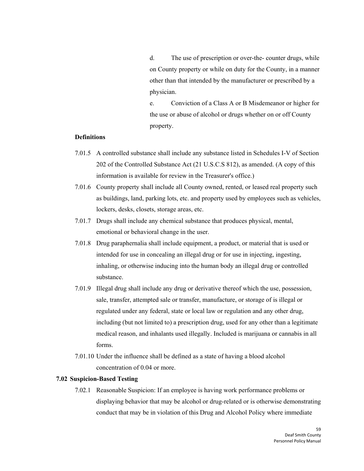d. The use of prescription or over-the- counter drugs, while on County property or while on duty for the County, in a manner other than that intended by the manufacturer or prescribed by a physician.

e. Conviction of a Class A or B Misdemeanor or higher for the use or abuse of alcohol or drugs whether on or off County property.

## **Definitions**

- 7.01.5 A controlled substance shall include any substance listed in Schedules I-V of Section 202 of the Controlled Substance Act (21 U.S.C.S 812), as amended. (A copy of this information is available for review in the Treasurer's office.)
- 7.01.6 County property shall include all County owned, rented, or leased real property such as buildings, land, parking lots, etc. and property used by employees such as vehicles, lockers, desks, closets, storage areas, etc.
- 7.01.7 Drugs shall include any chemical substance that produces physical, mental, emotional or behavioral change in the user.
- 7.01.8 Drug paraphernalia shall include equipment, a product, or material that is used or intended for use in concealing an illegal drug or for use in injecting, ingesting, inhaling, or otherwise inducing into the human body an illegal drug or controlled substance.
- <span id="page-58-0"></span>7.01.9 Illegal drug shall include any drug or derivative thereof which the use, possession, sale, transfer, attempted sale or transfer, manufacture, or storage of is illegal or regulated under any federal, state or local law or regulation and any other drug, including (but not limited to) a prescription drug, used for any other than a legitimate medical reason, and inhalants used illegally. Included is marijuana or cannabis in all forms.
- 7.01.10 Under the influence shall be defined as a state of having a blood alcohol concentration of 0.04 or more.

#### **7.02 Suspicion-Based Testing**

7.02.1 Reasonable Suspicion: If an employee is having work performance problems or displaying behavior that may be alcohol or drug-related or is otherwise demonstrating conduct that may be in violation of this Drug and Alcohol Policy where immediate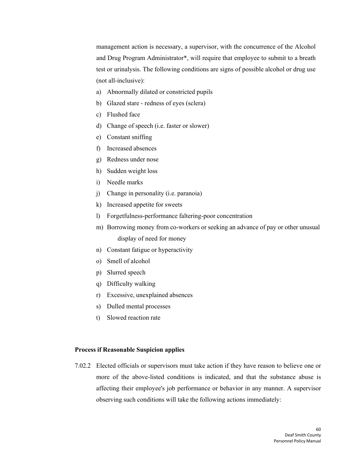management action is necessary, a supervisor, with the concurrence of the Alcohol and Drug Program Administrator\*, will require that employee to submit to a breath test or urinalysis. The following conditions are signs of possible alcohol or drug use (not all-inclusive):

- a) Abnormally dilated or constricted pupils
- b) Glazed stare redness of eyes (sclera)
- c) Flushed face
- d) Change of speech (i.e. faster or slower)
- e) Constant sniffing
- f) Increased absences
- g) Redness under nose
- h) Sudden weight loss
- i) Needle marks
- j) Change in personality (i.e. paranoia)
- k) Increased appetite for sweets
- l) Forgetfulness-performance faltering-poor concentration
- m) Borrowing money from co-workers or seeking an advance of pay or other unusual display of need for money
- n) Constant fatigue or hyperactivity
- o) Smell of alcohol
- p) Slurred speech
- q) Difficulty walking
- r) Excessive, unexplained absences
- s) Dulled mental processes
- t) Slowed reaction rate

#### **Process if Reasonable Suspicion applies**

7.02.2 Elected officials or supervisors must take action if they have reason to believe one or more of the above-listed conditions is indicated, and that the substance abuse is affecting their employee's job performance or behavior in any manner. A supervisor observing such conditions will take the following actions immediately: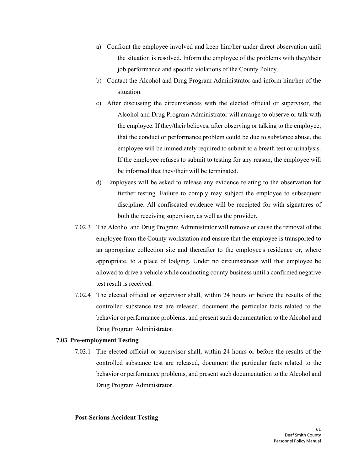- a) Confront the employee involved and keep him/her under direct observation until the situation is resolved. Inform the employee of the problems with they/their job performance and specific violations of the County Policy.
- b) Contact the Alcohol and Drug Program Administrator and inform him/her of the situation.
- c) After discussing the circumstances with the elected official or supervisor, the Alcohol and Drug Program Administrator will arrange to observe or talk with the employee. If they/their believes, after observing or talking to the employee, that the conduct or performance problem could be due to substance abuse, the employee will be immediately required to submit to a breath test or urinalysis. If the employee refuses to submit to testing for any reason, the employee will be informed that they/their will be terminated.
- d) Employees will be asked to release any evidence relating to the observation for further testing. Failure to comply may subject the employee to subsequent discipline. All confiscated evidence will be receipted for with signatures of both the receiving supervisor, as well as the provider.
- <span id="page-60-0"></span>7.02.3 The Alcohol and Drug Program Administrator will remove or cause the removal of the employee from the County workstation and ensure that the employee is transported to an appropriate collection site and thereafter to the employee's residence or, where appropriate, to a place of lodging. Under no circumstances will that employee be allowed to drive a vehicle while conducting county business until a confirmed negative test result is received.
- 7.02.4 The elected official or supervisor shall, within 24 hours or before the results of the controlled substance test are released, document the particular facts related to the behavior or performance problems, and present such documentation to the Alcohol and Drug Program Administrator.

## **7.03 Pre-employment Testing**

7.03.1 The elected official or supervisor shall, within 24 hours or before the results of the controlled substance test are released, document the particular facts related to the behavior or performance problems, and present such documentation to the Alcohol and Drug Program Administrator.

#### **Post-Serious Accident Testing**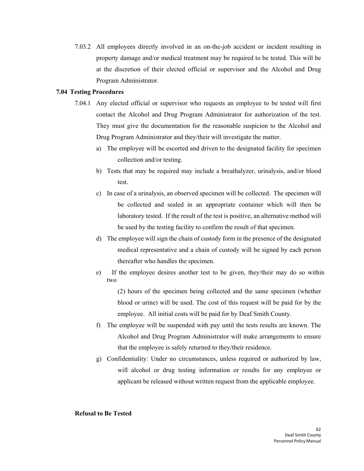<span id="page-61-0"></span>7.03.2 All employees directly involved in an on-the-job accident or incident resulting in property damage and/or medical treatment may be required to be tested. This will be at the discretion of their elected official or supervisor and the Alcohol and Drug Program Administrator.

#### **7.04 Testing Procedures**

- 7.04.1 Any elected official or supervisor who requests an employee to be tested will first contact the Alcohol and Drug Program Administrator for authorization of the test. They must give the documentation for the reasonable suspicion to the Alcohol and Drug Program Administrator and they/their will investigate the matter.
	- a) The employee will be escorted and driven to the designated facility for specimen collection and/or testing.
	- b) Tests that may be required may include a breathalyzer, urinalysis, and/or blood test.
	- c) In case of a urinalysis, an observed specimen will be collected. The specimen will be collected and sealed in an appropriate container which will then be laboratory tested. If the result of the test is positive, an alternative method will be used by the testing facility to confirm the result of that specimen.
	- d) The employee will sign the chain of custody form in the presence of the designated medical representative and a chain of custody will be signed by each person thereafter who handles the specimen.
	- e) If the employee desires another test to be given, they/their may do so within two

(2) hours of the specimen being collected and the same specimen (whether blood or urine) will be used. The cost of this request will be paid for by the employee. All initial costs will be paid for by Deaf Smith County.

- f) The employee will be suspended with pay until the tests results are known. The Alcohol and Drug Program Administrator will make arrangements to ensure that the employee is safely returned to they/their residence.
- g) Confidentiality: Under no circumstances, unless required or authorized by law, will alcohol or drug testing information or results for any employee or applicant be released without written request from the applicable employee.

#### **Refusal to Be Tested**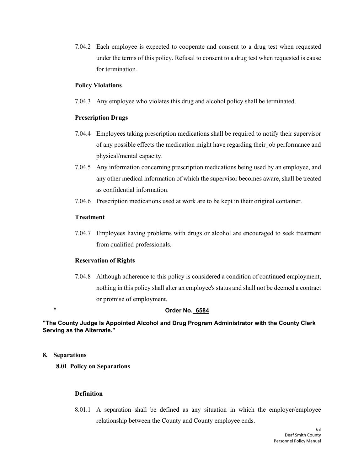7.04.2 Each employee is expected to cooperate and consent to a drug test when requested under the terms of this policy. Refusal to consent to a drug test when requested is cause for termination.

#### **Policy Violations**

7.04.3 Any employee who violates this drug and alcohol policy shall be terminated.

## **Prescription Drugs**

- 7.04.4 Employees taking prescription medications shall be required to notify their supervisor of any possible effects the medication might have regarding their job performance and physical/mental capacity.
- 7.04.5 Any information concerning prescription medications being used by an employee, and any other medical information of which the supervisor becomes aware, shall be treated as confidential information.
- 7.04.6 Prescription medications used at work are to be kept in their original container.

## **Treatment**

7.04.7 Employees having problems with drugs or alcohol are encouraged to seek treatment from qualified professionals.

## <span id="page-62-1"></span>**Reservation of Rights**

7.04.8 Although adherence to this policy is considered a condition of continued employment, nothing in this policy shall alter an employee's status and shall not be deemed a contract or promise of employment.

## \* **Order No. 6584**

## **"The County Judge Is Appointed Alcohol and Drug Program Administrator with the County Clerk Serving as the Alternate."**

## <span id="page-62-0"></span>**8. Separations**

**8.01 Policy on Separations**

## **Definition**

8.01.1 A separation shall be defined as any situation in which the employer/employee relationship between the County and County employee ends.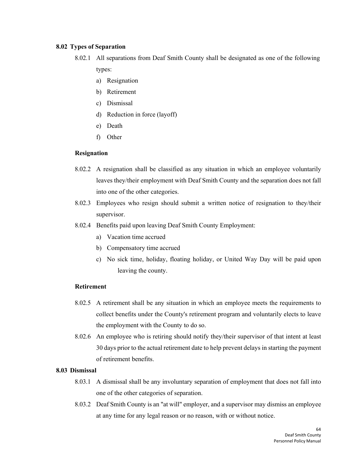#### <span id="page-63-0"></span>**8.02 Types of Separation**

- 8.02.1 All separations from Deaf Smith County shall be designated as one of the following types:
	- a) Resignation
	- b) Retirement
	- c) Dismissal
	- d) Reduction in force (layoff)
	- e) Death
	- f) Other

## **Resignation**

- 8.02.2 A resignation shall be classified as any situation in which an employee voluntarily leaves they/their employment with Deaf Smith County and the separation does not fall into one of the other categories.
- 8.02.3 Employees who resign should submit a written notice of resignation to they/their supervisor.
- <span id="page-63-1"></span>8.02.4 Benefits paid upon leaving Deaf Smith County Employment:
	- a) Vacation time accrued
	- b) Compensatory time accrued
	- c) No sick time, holiday, floating holiday, or United Way Day will be paid upon leaving the county.

## **Retirement**

- 8.02.5 A retirement shall be any situation in which an employee meets the requirements to collect benefits under the County's retirement program and voluntarily elects to leave the employment with the County to do so.
- 8.02.6 An employee who is retiring should notify they/their supervisor of that intent at least 30 days prior to the actual retirement date to help prevent delays in starting the payment of retirement benefits.

## **8.03 Dismissal**

- 8.03.1 A dismissal shall be any involuntary separation of employment that does not fall into one of the other categories of separation.
- 8.03.2 Deaf Smith County is an "at will" employer, and a supervisor may dismiss an employee at any time for any legal reason or no reason, with or without notice.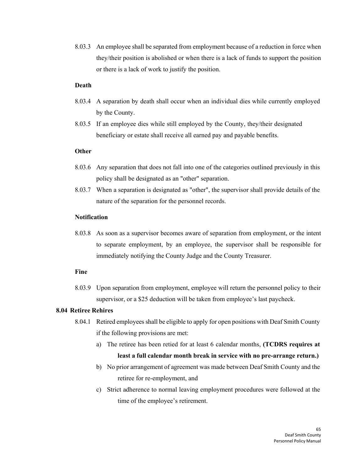8.03.3 An employee shall be separated from employment because of a reduction in force when they/their position is abolished or when there is a lack of funds to support the position or there is a lack of work to justify the position.

#### **Death**

- 8.03.4 A separation by death shall occur when an individual dies while currently employed by the County.
- 8.03.5 If an employee dies while still employed by the County, they/their designated beneficiary or estate shall receive all earned pay and payable benefits.

## **Other**

- 8.03.6 Any separation that does not fall into one of the categories outlined previously in this policy shall be designated as an "other" separation.
- <span id="page-64-0"></span>8.03.7 When a separation is designated as "other", the supervisor shall provide details of the nature of the separation for the personnel records.

## **Notification**

8.03.8 As soon as a supervisor becomes aware of separation from employment, or the intent to separate employment, by an employee, the supervisor shall be responsible for immediately notifying the County Judge and the County Treasurer.

#### **Fine**

8.03.9 Upon separation from employment, employee will return the personnel policy to their supervisor, or a \$25 deduction will be taken from employee's last paycheck.

#### **8.04 Retiree Rehires**

- 8.04.1 Retired employeesshall be eligible to apply for open positions with Deaf Smith County if the following provisions are met:
	- a) The retiree has been retied for at least 6 calendar months, **(TCDRS requires at least a full calendar month break in service with no pre-arrange return.)**
	- b) No prior arrangement of agreement was made between Deaf Smith County and the retiree for re-employment, and
	- c) Strict adherence to normal leaving employment procedures were followed at the time of the employee's retirement.